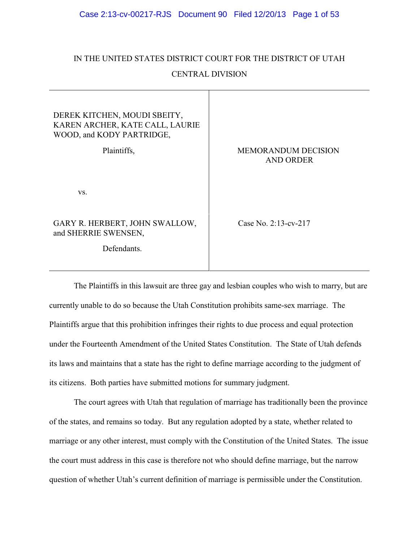# IN THE UNITED STATES DISTRICT COURT FOR THE DISTRICT OF UTAH

# CENTRAL DIVISION

| DEREK KITCHEN, MOUDI SBEITY,<br>KAREN ARCHER, KATE CALL, LAURIE<br>WOOD, and KODY PARTRIDGE, |                            |
|----------------------------------------------------------------------------------------------|----------------------------|
| Plaintiffs,                                                                                  | <b>MEMORANDUM DECISION</b> |
|                                                                                              | <b>AND ORDER</b>           |
|                                                                                              |                            |
| VS.                                                                                          |                            |
|                                                                                              |                            |
| GARY R. HERBERT, JOHN SWALLOW,                                                               | Case No. 2:13-cv-217       |
| and SHERRIE SWENSEN,                                                                         |                            |
| Defendants.                                                                                  |                            |
|                                                                                              |                            |

The Plaintiffs in this lawsuit are three gay and lesbian couples who wish to marry, but are currently unable to do so because the Utah Constitution prohibits same-sex marriage. The Plaintiffs argue that this prohibition infringes their rights to due process and equal protection under the Fourteenth Amendment of the United States Constitution. The State of Utah defends its laws and maintains that a state has the right to define marriage according to the judgment of its citizens. Both parties have submitted motions for summary judgment.

The court agrees with Utah that regulation of marriage has traditionally been the province of the states, and remains so today. But any regulation adopted by a state, whether related to marriage or any other interest, must comply with the Constitution of the United States. The issue the court must address in this case is therefore not who should define marriage, but the narrow question of whether Utah's current definition of marriage is permissible under the Constitution.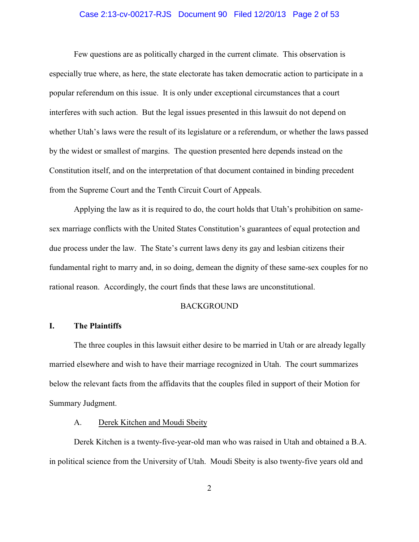# Case 2:13-cv-00217-RJS Document 90 Filed 12/20/13 Page 2 of 53

Few questions are as politically charged in the current climate. This observation is especially true where, as here, the state electorate has taken democratic action to participate in a popular referendum on this issue. It is only under exceptional circumstances that a court interferes with such action. But the legal issues presented in this lawsuit do not depend on whether Utah's laws were the result of its legislature or a referendum, or whether the laws passed by the widest or smallest of margins. The question presented here depends instead on the Constitution itself, and on the interpretation of that document contained in binding precedent from the Supreme Court and the Tenth Circuit Court of Appeals.

Applying the law as it is required to do, the court holds that Utah's prohibition on samesex marriage conflicts with the United States Constitution's guarantees of equal protection and due process under the law. The State's current laws deny its gay and lesbian citizens their fundamental right to marry and, in so doing, demean the dignity of these same-sex couples for no rational reason. Accordingly, the court finds that these laws are unconstitutional.

# BACKGROUND

# **I. The Plaintiffs**

The three couples in this lawsuit either desire to be married in Utah or are already legally married elsewhere and wish to have their marriage recognized in Utah. The court summarizes below the relevant facts from the affidavits that the couples filed in support of their Motion for Summary Judgment.

# A. Derek Kitchen and Moudi Sbeity

Derek Kitchen is a twenty-five-year-old man who was raised in Utah and obtained a B.A. in political science from the University of Utah. Moudi Sbeity is also twenty-five years old and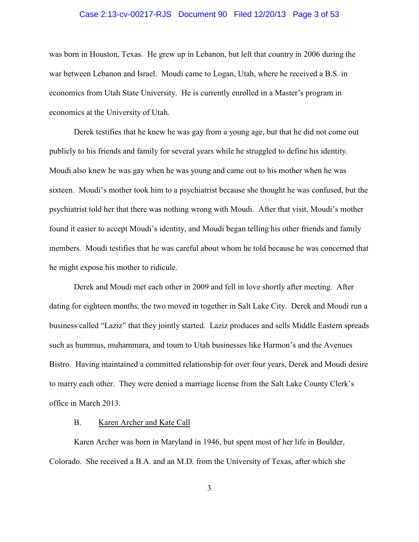#### Case 2:13-cv-00217-RJS Document 90 Filed 12/20/13 Page 3 of 53

was born in Houston, Texas. He grew up in Lebanon, but left that country in 2006 during the war between Lebanon and Israel. Moudi came to Logan, Utah, where he received a B.S. in economics from Utah State University. He is currently enrolled in a Master's program in economics at the University of Utah.

Derek testifies that he knew he was gay from a young age, but that he did not come out publicly to his friends and family for several years while he struggled to define his identity. Moudi also knew he was gay when he was young and came out to his mother when he was sixteen. Moudi's mother took him to a psychiatrist because she thought he was confused, but the psychiatrist told her that there was nothing wrong with Moudi. After that visit, Moudi's mother found it easier to accept Moudi's identity, and Moudi began telling his other friends and family members. Moudi testifies that he was careful about whom he told because he was concerned that he might expose his mother to ridicule.

Derek and Moudi met each other in 2009 and fell in love shortly after meeting. After dating for eighteen months, the two moved in together in Salt Lake City. Derek and Moudi run a business called "Laziz" that they jointly started. Laziz produces and sells Middle Eastern spreads such as hummus, muhammara, and toum to Utah businesses like Harmon's and the Avenues Bistro. Having maintained a committed relationship for over four years, Derek and Moudi desire to marry each other. They were denied a marriage license from the Salt Lake County Clerk's office in March 2013.

# B. Karen Archer and Kate Call

Karen Archer was born in Maryland in 1946, but spent most of her life in Boulder, Colorado. She received a B.A. and an M.D. from the University of Texas, after which she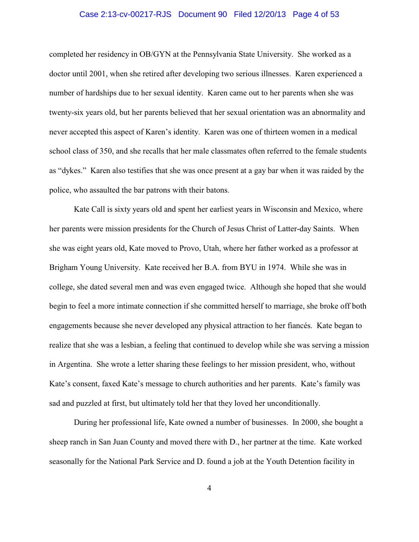# Case 2:13-cv-00217-RJS Document 90 Filed 12/20/13 Page 4 of 53

completed her residency in OB/GYN at the Pennsylvania State University. She worked as a doctor until 2001, when she retired after developing two serious illnesses. Karen experienced a number of hardships due to her sexual identity. Karen came out to her parents when she was twenty-six years old, but her parents believed that her sexual orientation was an abnormality and never accepted this aspect of Karen's identity. Karen was one of thirteen women in a medical school class of 350, and she recalls that her male classmates often referred to the female students as "dykes." Karen also testifies that she was once present at a gay bar when it was raided by the police, who assaulted the bar patrons with their batons.

Kate Call is sixty years old and spent her earliest years in Wisconsin and Mexico, where her parents were mission presidents for the Church of Jesus Christ of Latter-day Saints. When she was eight years old, Kate moved to Provo, Utah, where her father worked as a professor at Brigham Young University. Kate received her B.A. from BYU in 1974. While she was in college, she dated several men and was even engaged twice. Although she hoped that she would begin to feel a more intimate connection if she committed herself to marriage, she broke off both engagements because she never developed any physical attraction to her fiancés. Kate began to realize that she was a lesbian, a feeling that continued to develop while she was serving a mission in Argentina. She wrote a letter sharing these feelings to her mission president, who, without Kate's consent, faxed Kate's message to church authorities and her parents. Kate's family was sad and puzzled at first, but ultimately told her that they loved her unconditionally.

During her professional life, Kate owned a number of businesses. In 2000, she bought a sheep ranch in San Juan County and moved there with D., her partner at the time. Kate worked seasonally for the National Park Service and D. found a job at the Youth Detention facility in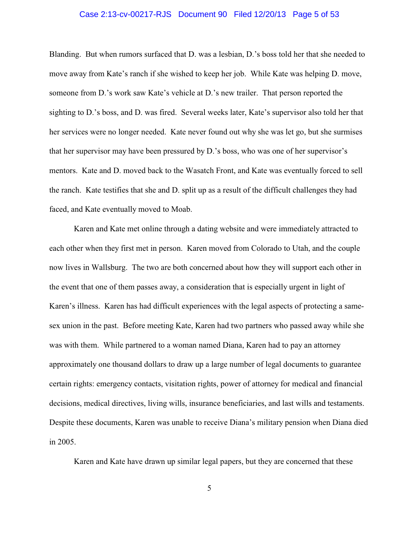# Case 2:13-cv-00217-RJS Document 90 Filed 12/20/13 Page 5 of 53

Blanding. But when rumors surfaced that D. was a lesbian, D.'s boss told her that she needed to move away from Kate's ranch if she wished to keep her job. While Kate was helping D. move, someone from D.'s work saw Kate's vehicle at D.'s new trailer. That person reported the sighting to D.'s boss, and D. was fired. Several weeks later, Kate's supervisor also told her that her services were no longer needed. Kate never found out why she was let go, but she surmises that her supervisor may have been pressured by D.'s boss, who was one of her supervisor's mentors. Kate and D. moved back to the Wasatch Front, and Kate was eventually forced to sell the ranch. Kate testifies that she and D. split up as a result of the difficult challenges they had faced, and Kate eventually moved to Moab.

Karen and Kate met online through a dating website and were immediately attracted to each other when they first met in person. Karen moved from Colorado to Utah, and the couple now lives in Wallsburg. The two are both concerned about how they will support each other in the event that one of them passes away, a consideration that is especially urgent in light of Karen's illness. Karen has had difficult experiences with the legal aspects of protecting a samesex union in the past. Before meeting Kate, Karen had two partners who passed away while she was with them. While partnered to a woman named Diana, Karen had to pay an attorney approximately one thousand dollars to draw up a large number of legal documents to guarantee certain rights: emergency contacts, visitation rights, power of attorney for medical and financial decisions, medical directives, living wills, insurance beneficiaries, and last wills and testaments. Despite these documents, Karen was unable to receive Diana's military pension when Diana died in 2005.

Karen and Kate have drawn up similar legal papers, but they are concerned that these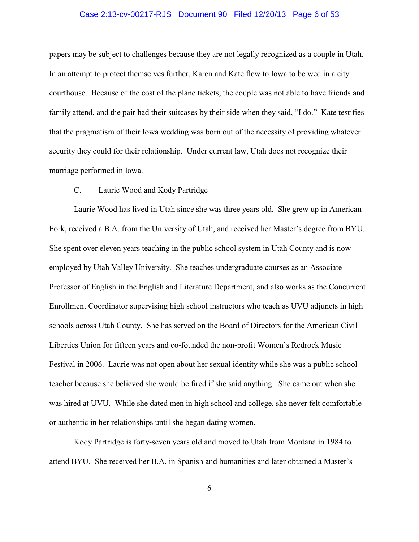# Case 2:13-cv-00217-RJS Document 90 Filed 12/20/13 Page 6 of 53

papers may be subject to challenges because they are not legally recognized as a couple in Utah. In an attempt to protect themselves further, Karen and Kate flew to Iowa to be wed in a city courthouse. Because of the cost of the plane tickets, the couple was not able to have friends and family attend, and the pair had their suitcases by their side when they said, "I do." Kate testifies that the pragmatism of their Iowa wedding was born out of the necessity of providing whatever security they could for their relationship. Under current law, Utah does not recognize their marriage performed in Iowa.

# C. Laurie Wood and Kody Partridge

Laurie Wood has lived in Utah since she was three years old. She grew up in American Fork, received a B.A. from the University of Utah, and received her Master's degree from BYU. She spent over eleven years teaching in the public school system in Utah County and is now employed by Utah Valley University. She teaches undergraduate courses as an Associate Professor of English in the English and Literature Department, and also works as the Concurrent Enrollment Coordinator supervising high school instructors who teach as UVU adjuncts in high schools across Utah County. She has served on the Board of Directors for the American Civil Liberties Union for fifteen years and co-founded the non-profit Women's Redrock Music Festival in 2006. Laurie was not open about her sexual identity while she was a public school teacher because she believed she would be fired if she said anything. She came out when she was hired at UVU. While she dated men in high school and college, she never felt comfortable or authentic in her relationships until she began dating women.

Kody Partridge is forty-seven years old and moved to Utah from Montana in 1984 to attend BYU. She received her B.A. in Spanish and humanities and later obtained a Master's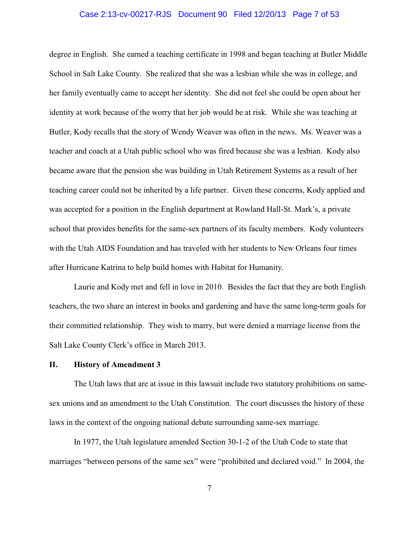# Case 2:13-cv-00217-RJS Document 90 Filed 12/20/13 Page 7 of 53

degree in English. She earned a teaching certificate in 1998 and began teaching at Butler Middle School in Salt Lake County. She realized that she was a lesbian while she was in college, and her family eventually came to accept her identity. She did not feel she could be open about her identity at work because of the worry that her job would be at risk. While she was teaching at Butler, Kody recalls that the story of Wendy Weaver was often in the news. Ms. Weaver was a teacher and coach at a Utah public school who was fired because she was a lesbian. Kody also became aware that the pension she was building in Utah Retirement Systems as a result of her teaching career could not be inherited by a life partner. Given these concerns, Kody applied and was accepted for a position in the English department at Rowland Hall-St. Mark's, a private school that provides benefits for the same-sex partners of its faculty members. Kody volunteers with the Utah AIDS Foundation and has traveled with her students to New Orleans four times after Hurricane Katrina to help build homes with Habitat for Humanity.

Laurie and Kody met and fell in love in 2010. Besides the fact that they are both English teachers, the two share an interest in books and gardening and have the same long-term goals for their committed relationship. They wish to marry, but were denied a marriage license from the Salt Lake County Clerk's office in March 2013.

# **II. History of Amendment 3**

The Utah laws that are at issue in this lawsuit include two statutory prohibitions on samesex unions and an amendment to the Utah Constitution. The court discusses the history of these laws in the context of the ongoing national debate surrounding same-sex marriage.

In 1977, the Utah legislature amended Section 30-1-2 of the Utah Code to state that marriages "between persons of the same sex" were "prohibited and declared void." In 2004, the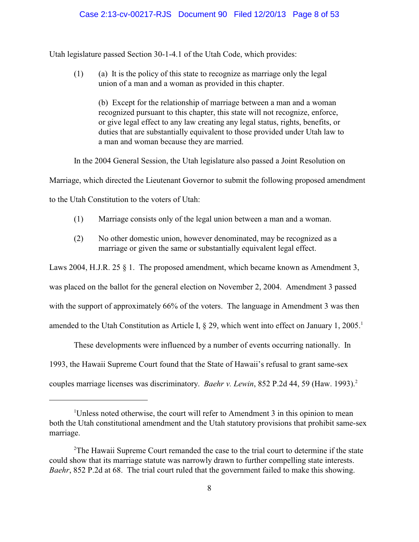# Case 2:13-cv-00217-RJS Document 90 Filed 12/20/13 Page 8 of 53

Utah legislature passed Section 30-1-4.1 of the Utah Code, which provides:

(1) (a) It is the policy of this state to recognize as marriage only the legal union of a man and a woman as provided in this chapter.

(b) Except for the relationship of marriage between a man and a woman recognized pursuant to this chapter, this state will not recognize, enforce, or give legal effect to any law creating any legal status, rights, benefits, or duties that are substantially equivalent to those provided under Utah law to a man and woman because they are married.

In the 2004 General Session, the Utah legislature also passed a Joint Resolution on

Marriage, which directed the Lieutenant Governor to submit the following proposed amendment

to the Utah Constitution to the voters of Utah:

- (1) Marriage consists only of the legal union between a man and a woman.
- (2) No other domestic union, however denominated, may be recognized as a marriage or given the same or substantially equivalent legal effect.

Laws 2004, H.J.R. 25 § 1. The proposed amendment, which became known as Amendment 3, was placed on the ballot for the general election on November 2, 2004. Amendment 3 passed with the support of approximately 66% of the voters. The language in Amendment 3 was then amended to the Utah Constitution as Article I,  $\S 29$ , which went into effect on January 1, 2005.<sup>1</sup>

These developments were influenced by a number of events occurring nationally. In 1993, the Hawaii Supreme Court found that the State of Hawaii's refusal to grant same-sex couples marriage licenses was discriminatory. *Baehr v. Lewin*, 852 P.2d 44, 59 (Haw. 1993).<sup>2</sup>

<sup>&</sup>lt;sup>1</sup>Unless noted otherwise, the court will refer to Amendment 3 in this opinion to mean both the Utah constitutional amendment and the Utah statutory provisions that prohibit same-sex marriage.

 $2$ The Hawaii Supreme Court remanded the case to the trial court to determine if the state could show that its marriage statute was narrowly drawn to further compelling state interests. *Baehr*, 852 P.2d at 68. The trial court ruled that the government failed to make this showing.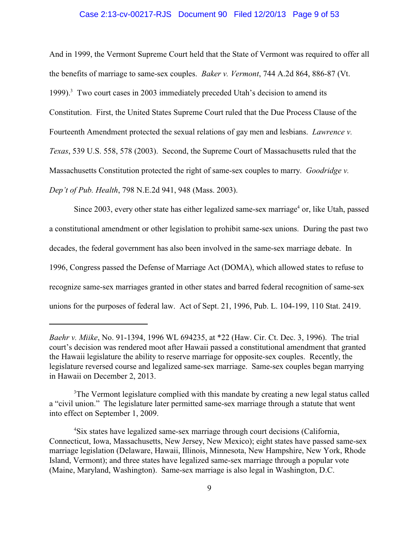# Case 2:13-cv-00217-RJS Document 90 Filed 12/20/13 Page 9 of 53

And in 1999, the Vermont Supreme Court held that the State of Vermont was required to offer all the benefits of marriage to same-sex couples. *Baker v. Vermont*, 744 A.2d 864, 886-87 (Vt. 1999). $3$  Two court cases in 2003 immediately preceded Utah's decision to amend its Constitution. First, the United States Supreme Court ruled that the Due Process Clause of the Fourteenth Amendment protected the sexual relations of gay men and lesbians. *Lawrence v. Texas*, 539 U.S. 558, 578 (2003). Second, the Supreme Court of Massachusetts ruled that the Massachusetts Constitution protected the right of same-sex couples to marry. *Goodridge v. Dep't of Pub. Health*, 798 N.E.2d 941, 948 (Mass. 2003).

Since 2003, every other state has either legalized same-sex marriage<sup>4</sup> or, like Utah, passed a constitutional amendment or other legislation to prohibit same-sex unions. During the past two decades, the federal government has also been involved in the same-sex marriage debate. In 1996, Congress passed the Defense of Marriage Act (DOMA), which allowed states to refuse to recognize same-sex marriages granted in other states and barred federal recognition of same-sex unions for the purposes of federal law. Act of Sept. 21, 1996, Pub. L. 104-199, 110 Stat. 2419.

*Baehr v. Miike*, No. 91-1394, 1996 WL 694235, at \*22 (Haw. Cir. Ct. Dec. 3, 1996). The trial court's decision was rendered moot after Hawaii passed a constitutional amendment that granted the Hawaii legislature the ability to reserve marriage for opposite-sex couples. Recently, the legislature reversed course and legalized same-sex marriage. Same-sex couples began marrying in Hawaii on December 2, 2013.

<sup>&</sup>lt;sup>3</sup>The Vermont legislature complied with this mandate by creating a new legal status called a "civil union." The legislature later permitted same-sex marriage through a statute that went into effect on September 1, 2009.

<sup>&</sup>lt;sup>4</sup>Six states have legalized same-sex marriage through court decisions (California, Connecticut, Iowa, Massachusetts, New Jersey, New Mexico); eight states have passed same-sex marriage legislation (Delaware, Hawaii, Illinois, Minnesota, New Hampshire, New York, Rhode Island, Vermont); and three states have legalized same-sex marriage through a popular vote (Maine, Maryland, Washington). Same-sex marriage is also legal in Washington, D.C.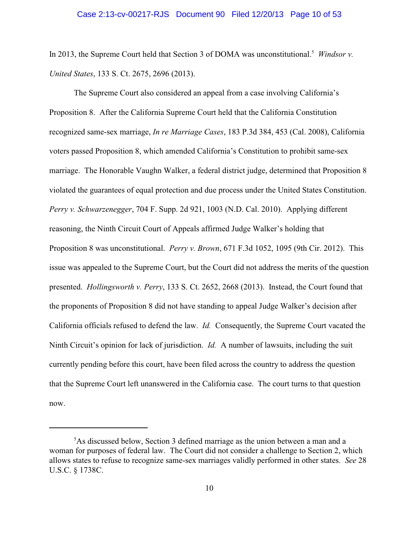In 2013, the Supreme Court held that Section 3 of DOMA was unconstitutional.<sup>5</sup> *Windsor v. United States*, 133 S. Ct. 2675, 2696 (2013).

The Supreme Court also considered an appeal from a case involving California's Proposition 8. After the California Supreme Court held that the California Constitution recognized same-sex marriage, *In re Marriage Cases*, 183 P.3d 384, 453 (Cal. 2008), California voters passed Proposition 8, which amended California's Constitution to prohibit same-sex marriage. The Honorable Vaughn Walker, a federal district judge, determined that Proposition 8 violated the guarantees of equal protection and due process under the United States Constitution. *Perry v. Schwarzenegger*, 704 F. Supp. 2d 921, 1003 (N.D. Cal. 2010). Applying different reasoning, the Ninth Circuit Court of Appeals affirmed Judge Walker's holding that Proposition 8 was unconstitutional. *Perry v. Brown*, 671 F.3d 1052, 1095 (9th Cir. 2012). This issue was appealed to the Supreme Court, but the Court did not address the merits of the question presented. *Hollingsworth v. Perry*, 133 S. Ct. 2652, 2668 (2013). Instead, the Court found that the proponents of Proposition 8 did not have standing to appeal Judge Walker's decision after California officials refused to defend the law. *Id.* Consequently, the Supreme Court vacated the Ninth Circuit's opinion for lack of jurisdiction. *Id.* A number of lawsuits, including the suit currently pending before this court, have been filed across the country to address the question that the Supreme Court left unanswered in the California case. The court turns to that question now.

 ${}^{5}$ As discussed below, Section 3 defined marriage as the union between a man and a woman for purposes of federal law. The Court did not consider a challenge to Section 2, which allows states to refuse to recognize same-sex marriages validly performed in other states. *See* 28 U.S.C. § 1738C.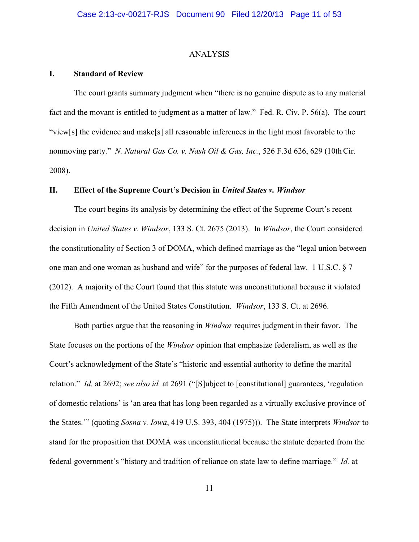### ANALYSIS

#### **I. Standard of Review**

The court grants summary judgment when "there is no genuine dispute as to any material fact and the movant is entitled to judgment as a matter of law." Fed. R. Civ. P. 56(a). The court "view[s] the evidence and make[s] all reasonable inferences in the light most favorable to the nonmoving party." *N. Natural Gas Co. v. Nash Oil & Gas, Inc.*, 526 F.3d 626, 629 (10th Cir. 2008).

# **II. Effect of the Supreme Court's Decision in** *United States v. Windsor*

The court begins its analysis by determining the effect of the Supreme Court's recent decision in *United States v. Windsor*, 133 S. Ct. 2675 (2013). In *Windsor*, the Court considered the constitutionality of Section 3 of DOMA, which defined marriage as the "legal union between one man and one woman as husband and wife" for the purposes of federal law. 1 U.S.C. § 7 (2012). A majority of the Court found that this statute was unconstitutional because it violated the Fifth Amendment of the United States Constitution. *Windsor*, 133 S. Ct. at 2696.

Both parties argue that the reasoning in *Windsor* requires judgment in their favor. The State focuses on the portions of the *Windsor* opinion that emphasize federalism, as well as the Court's acknowledgment of the State's "historic and essential authority to define the marital relation." *Id.* at 2692; *see also id.* at 2691 ("[S]ubject to [constitutional] guarantees, 'regulation of domestic relations' is 'an area that has long been regarded as a virtually exclusive province of the States.'" (quoting *Sosna v. Iowa*, 419 U.S. 393, 404 (1975))). The State interprets *Windsor* to stand for the proposition that DOMA was unconstitutional because the statute departed from the federal government's "history and tradition of reliance on state law to define marriage." *Id.* at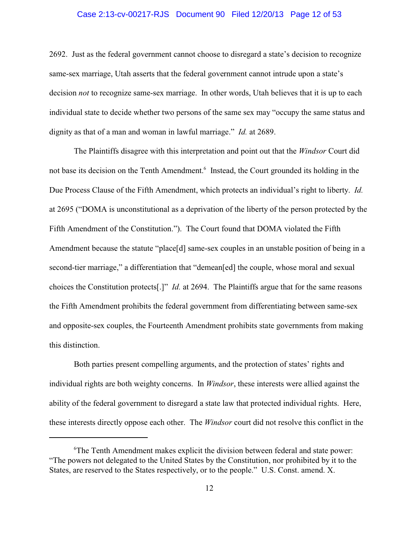# Case 2:13-cv-00217-RJS Document 90 Filed 12/20/13 Page 12 of 53

2692. Just as the federal government cannot choose to disregard a state's decision to recognize same-sex marriage, Utah asserts that the federal government cannot intrude upon a state's decision *not* to recognize same-sex marriage. In other words, Utah believes that it is up to each individual state to decide whether two persons of the same sex may "occupy the same status and dignity as that of a man and woman in lawful marriage." *Id.* at 2689.

The Plaintiffs disagree with this interpretation and point out that the *Windsor* Court did not base its decision on the Tenth Amendment.<sup>6</sup> Instead, the Court grounded its holding in the Due Process Clause of the Fifth Amendment, which protects an individual's right to liberty. *Id.* at 2695 ("DOMA is unconstitutional as a deprivation of the liberty of the person protected by the Fifth Amendment of the Constitution."). The Court found that DOMA violated the Fifth Amendment because the statute "place[d] same-sex couples in an unstable position of being in a second-tier marriage," a differentiation that "demean[ed] the couple, whose moral and sexual choices the Constitution protects[.]" *Id.* at 2694. The Plaintiffs argue that for the same reasons the Fifth Amendment prohibits the federal government from differentiating between same-sex and opposite-sex couples, the Fourteenth Amendment prohibits state governments from making this distinction.

Both parties present compelling arguments, and the protection of states' rights and individual rights are both weighty concerns. In *Windsor*, these interests were allied against the ability of the federal government to disregard a state law that protected individual rights. Here, these interests directly oppose each other. The *Windsor* court did not resolve this conflict in the

 ${}^6$ The Tenth Amendment makes explicit the division between federal and state power: "The powers not delegated to the United States by the Constitution, nor prohibited by it to the States, are reserved to the States respectively, or to the people." U.S. Const. amend. X.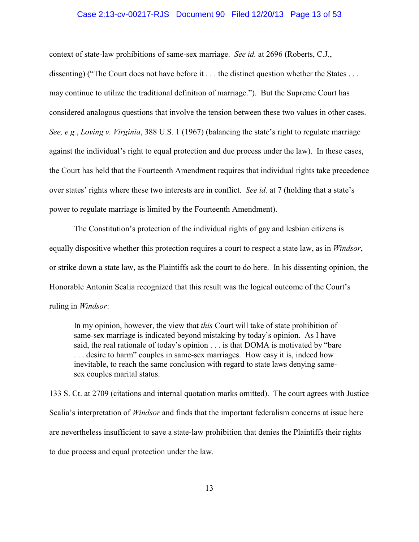#### Case 2:13-cv-00217-RJS Document 90 Filed 12/20/13 Page 13 of 53

context of state-law prohibitions of same-sex marriage. *See id.* at 2696 (Roberts, C.J., dissenting) ("The Court does not have before it . . . the distinct question whether the States . . . may continue to utilize the traditional definition of marriage."). But the Supreme Court has considered analogous questions that involve the tension between these two values in other cases. *See, e.g.*, *Loving v. Virginia*, 388 U.S. 1 (1967) (balancing the state's right to regulate marriage against the individual's right to equal protection and due process under the law). In these cases, the Court has held that the Fourteenth Amendment requires that individual rights take precedence over states' rights where these two interests are in conflict. *See id.* at 7 (holding that a state's power to regulate marriage is limited by the Fourteenth Amendment).

The Constitution's protection of the individual rights of gay and lesbian citizens is equally dispositive whether this protection requires a court to respect a state law, as in *Windsor*, or strike down a state law, as the Plaintiffs ask the court to do here. In his dissenting opinion, the Honorable Antonin Scalia recognized that this result was the logical outcome of the Court's ruling in *Windsor*:

In my opinion, however, the view that *this* Court will take of state prohibition of same-sex marriage is indicated beyond mistaking by today's opinion. As I have said, the real rationale of today's opinion . . . is that DOMA is motivated by "bare . . . desire to harm" couples in same-sex marriages. How easy it is, indeed how inevitable, to reach the same conclusion with regard to state laws denying samesex couples marital status.

133 S. Ct. at 2709 (citations and internal quotation marks omitted). The court agrees with Justice Scalia's interpretation of *Windsor* and finds that the important federalism concerns at issue here are nevertheless insufficient to save a state-law prohibition that denies the Plaintiffs their rights to due process and equal protection under the law.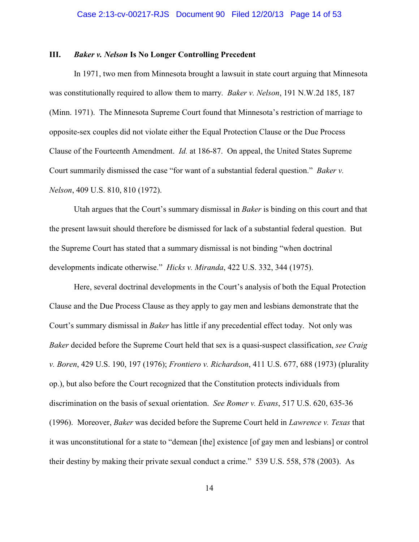# **III.** *Baker v. Nelson* **Is No Longer Controlling Precedent**

In 1971, two men from Minnesota brought a lawsuit in state court arguing that Minnesota was constitutionally required to allow them to marry. *Baker v. Nelson*, 191 N.W.2d 185, 187 (Minn. 1971). The Minnesota Supreme Court found that Minnesota's restriction of marriage to opposite-sex couples did not violate either the Equal Protection Clause or the Due Process Clause of the Fourteenth Amendment. *Id.* at 186-87. On appeal, the United States Supreme Court summarily dismissed the case "for want of a substantial federal question." *Baker v. Nelson*, 409 U.S. 810, 810 (1972).

Utah argues that the Court's summary dismissal in *Baker* is binding on this court and that the present lawsuit should therefore be dismissed for lack of a substantial federal question. But the Supreme Court has stated that a summary dismissal is not binding "when doctrinal developments indicate otherwise." *Hicks v. Miranda*, 422 U.S. 332, 344 (1975).

Here, several doctrinal developments in the Court's analysis of both the Equal Protection Clause and the Due Process Clause as they apply to gay men and lesbians demonstrate that the Court's summary dismissal in *Baker* has little if any precedential effect today. Not only was *Baker* decided before the Supreme Court held that sex is a quasi-suspect classification, *see Craig v. Boren*, 429 U.S. 190, 197 (1976); *Frontiero v. Richardson*, 411 U.S. 677, 688 (1973) (plurality op.), but also before the Court recognized that the Constitution protects individuals from discrimination on the basis of sexual orientation. *See Romer v. Evans*, 517 U.S. 620, 635-36 (1996). Moreover, *Baker* was decided before the Supreme Court held in *Lawrence v. Texas* that it was unconstitutional for a state to "demean [the] existence [of gay men and lesbians] or control their destiny by making their private sexual conduct a crime." 539 U.S. 558, 578 (2003). As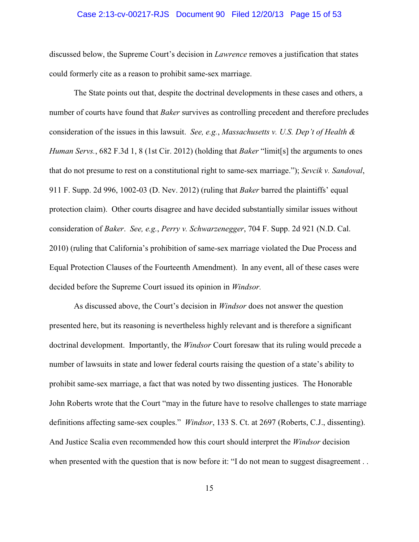# Case 2:13-cv-00217-RJS Document 90 Filed 12/20/13 Page 15 of 53

discussed below, the Supreme Court's decision in *Lawrence* removes a justification that states could formerly cite as a reason to prohibit same-sex marriage.

The State points out that, despite the doctrinal developments in these cases and others, a number of courts have found that *Baker* survives as controlling precedent and therefore precludes consideration of the issues in this lawsuit. *See, e.g.*, *Massachusetts v. U.S. Dep't of Health & Human Servs.*, 682 F.3d 1, 8 (1st Cir. 2012) (holding that *Baker* "limit[s] the arguments to ones that do not presume to rest on a constitutional right to same-sex marriage."); *Sevcik v. Sandoval*, 911 F. Supp. 2d 996, 1002-03 (D. Nev. 2012) (ruling that *Baker* barred the plaintiffs' equal protection claim). Other courts disagree and have decided substantially similar issues without consideration of *Baker*. *See, e.g.*, *Perry v. Schwarzenegger*, 704 F. Supp. 2d 921 (N.D. Cal. 2010) (ruling that California's prohibition of same-sex marriage violated the Due Process and Equal Protection Clauses of the Fourteenth Amendment). In any event, all of these cases were decided before the Supreme Court issued its opinion in *Windsor.*

As discussed above, the Court's decision in *Windsor* does not answer the question presented here, but its reasoning is nevertheless highly relevant and is therefore a significant doctrinal development. Importantly, the *Windsor* Court foresaw that its ruling would precede a number of lawsuits in state and lower federal courts raising the question of a state's ability to prohibit same-sex marriage, a fact that was noted by two dissenting justices. The Honorable John Roberts wrote that the Court "may in the future have to resolve challenges to state marriage definitions affecting same-sex couples." *Windsor*, 133 S. Ct. at 2697 (Roberts, C.J., dissenting). And Justice Scalia even recommended how this court should interpret the *Windsor* decision when presented with the question that is now before it: "I do not mean to suggest disagreement..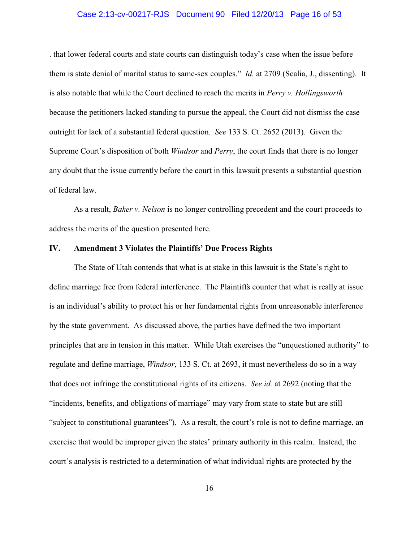#### Case 2:13-cv-00217-RJS Document 90 Filed 12/20/13 Page 16 of 53

. that lower federal courts and state courts can distinguish today's case when the issue before them is state denial of marital status to same-sex couples." *Id.* at 2709 (Scalia, J., dissenting). It is also notable that while the Court declined to reach the merits in *Perry v. Hollingsworth* because the petitioners lacked standing to pursue the appeal, the Court did not dismiss the case outright for lack of a substantial federal question. *See* 133 S. Ct. 2652 (2013). Given the Supreme Court's disposition of both *Windsor* and *Perry*, the court finds that there is no longer any doubt that the issue currently before the court in this lawsuit presents a substantial question of federal law.

As a result, *Baker v. Nelson* is no longer controlling precedent and the court proceeds to address the merits of the question presented here.

# **IV. Amendment 3 Violates the Plaintiffs' Due Process Rights**

The State of Utah contends that what is at stake in this lawsuit is the State's right to define marriage free from federal interference. The Plaintiffs counter that what is really at issue is an individual's ability to protect his or her fundamental rights from unreasonable interference by the state government. As discussed above, the parties have defined the two important principles that are in tension in this matter. While Utah exercises the "unquestioned authority" to regulate and define marriage, *Windsor*, 133 S. Ct. at 2693, it must nevertheless do so in a way that does not infringe the constitutional rights of its citizens. *See id.* at 2692 (noting that the "incidents, benefits, and obligations of marriage" may vary from state to state but are still "subject to constitutional guarantees"). As a result, the court's role is not to define marriage, an exercise that would be improper given the states' primary authority in this realm. Instead, the court's analysis is restricted to a determination of what individual rights are protected by the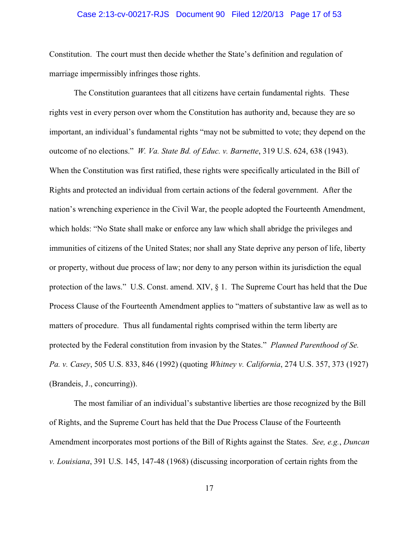# Case 2:13-cv-00217-RJS Document 90 Filed 12/20/13 Page 17 of 53

Constitution. The court must then decide whether the State's definition and regulation of marriage impermissibly infringes those rights.

The Constitution guarantees that all citizens have certain fundamental rights. These rights vest in every person over whom the Constitution has authority and, because they are so important, an individual's fundamental rights "may not be submitted to vote; they depend on the outcome of no elections." *W. Va. State Bd. of Educ. v. Barnette*, 319 U.S. 624, 638 (1943). When the Constitution was first ratified, these rights were specifically articulated in the Bill of Rights and protected an individual from certain actions of the federal government. After the nation's wrenching experience in the Civil War, the people adopted the Fourteenth Amendment, which holds: "No State shall make or enforce any law which shall abridge the privileges and immunities of citizens of the United States; nor shall any State deprive any person of life, liberty or property, without due process of law; nor deny to any person within its jurisdiction the equal protection of the laws." U.S. Const. amend. XIV, § 1. The Supreme Court has held that the Due Process Clause of the Fourteenth Amendment applies to "matters of substantive law as well as to matters of procedure. Thus all fundamental rights comprised within the term liberty are protected by the Federal constitution from invasion by the States." *Planned Parenthood of Se. Pa. v. Casey*, 505 U.S. 833, 846 (1992) (quoting *Whitney v. California*, 274 U.S. 357, 373 (1927) (Brandeis, J., concurring)).

The most familiar of an individual's substantive liberties are those recognized by the Bill of Rights, and the Supreme Court has held that the Due Process Clause of the Fourteenth Amendment incorporates most portions of the Bill of Rights against the States. *See, e.g.*, *Duncan v. Louisiana*, 391 U.S. 145, 147-48 (1968) (discussing incorporation of certain rights from the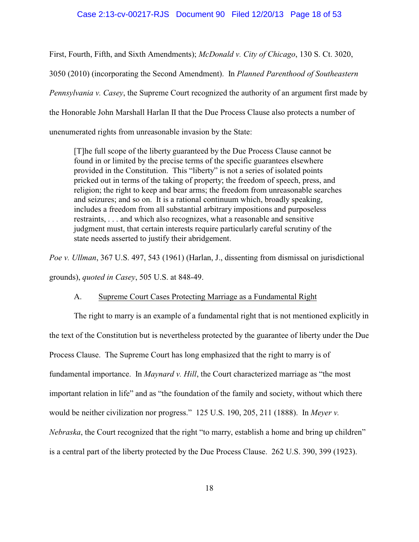# Case 2:13-cv-00217-RJS Document 90 Filed 12/20/13 Page 18 of 53

First, Fourth, Fifth, and Sixth Amendments); *McDonald v. City of Chicago*, 130 S. Ct. 3020, 3050 (2010) (incorporating the Second Amendment). In *Planned Parenthood of Southeastern Pennsylvania v. Casey*, the Supreme Court recognized the authority of an argument first made by the Honorable John Marshall Harlan II that the Due Process Clause also protects a number of unenumerated rights from unreasonable invasion by the State:

[T]he full scope of the liberty guaranteed by the Due Process Clause cannot be found in or limited by the precise terms of the specific guarantees elsewhere provided in the Constitution. This "liberty" is not a series of isolated points pricked out in terms of the taking of property; the freedom of speech, press, and religion; the right to keep and bear arms; the freedom from unreasonable searches and seizures; and so on. It is a rational continuum which, broadly speaking, includes a freedom from all substantial arbitrary impositions and purposeless restraints, . . . and which also recognizes, what a reasonable and sensitive judgment must, that certain interests require particularly careful scrutiny of the state needs asserted to justify their abridgement.

*Poe v. Ullman*, 367 U.S. 497, 543 (1961) (Harlan, J., dissenting from dismissal on jurisdictional grounds), *quoted in Casey*, 505 U.S. at 848-49.

# A. Supreme Court Cases Protecting Marriage as a Fundamental Right

The right to marry is an example of a fundamental right that is not mentioned explicitly in the text of the Constitution but is nevertheless protected by the guarantee of liberty under the Due Process Clause. The Supreme Court has long emphasized that the right to marry is of fundamental importance. In *Maynard v. Hill*, the Court characterized marriage as "the most important relation in life" and as "the foundation of the family and society, without which there would be neither civilization nor progress." 125 U.S. 190, 205, 211 (1888). In *Meyer v. Nebraska*, the Court recognized that the right "to marry, establish a home and bring up children" is a central part of the liberty protected by the Due Process Clause. 262 U.S. 390, 399 (1923).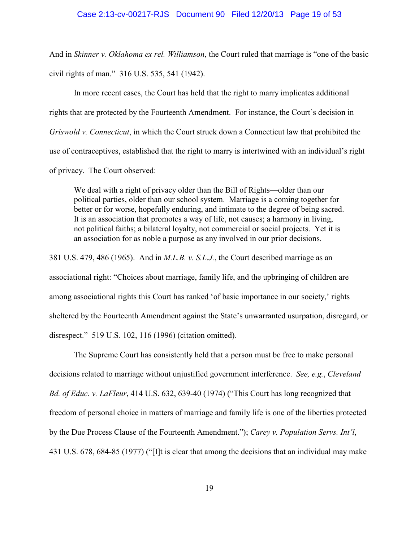And in *Skinner v. Oklahoma ex rel. Williamson*, the Court ruled that marriage is "one of the basic civil rights of man." 316 U.S. 535, 541 (1942).

In more recent cases, the Court has held that the right to marry implicates additional rights that are protected by the Fourteenth Amendment. For instance, the Court's decision in *Griswold v. Connecticut*, in which the Court struck down a Connecticut law that prohibited the use of contraceptives, established that the right to marry is intertwined with an individual's right of privacy. The Court observed:

We deal with a right of privacy older than the Bill of Rights—older than our political parties, older than our school system. Marriage is a coming together for better or for worse, hopefully enduring, and intimate to the degree of being sacred. It is an association that promotes a way of life, not causes; a harmony in living, not political faiths; a bilateral loyalty, not commercial or social projects. Yet it is an association for as noble a purpose as any involved in our prior decisions.

381 U.S. 479, 486 (1965). And in *M.L.B. v. S.L.J.*, the Court described marriage as an associational right: "Choices about marriage, family life, and the upbringing of children are among associational rights this Court has ranked 'of basic importance in our society,' rights sheltered by the Fourteenth Amendment against the State's unwarranted usurpation, disregard, or disrespect." 519 U.S. 102, 116 (1996) (citation omitted).

The Supreme Court has consistently held that a person must be free to make personal decisions related to marriage without unjustified government interference. *See, e.g.*, *Cleveland Bd. of Educ. v. LaFleur*, 414 U.S. 632, 639-40 (1974) ("This Court has long recognized that freedom of personal choice in matters of marriage and family life is one of the liberties protected by the Due Process Clause of the Fourteenth Amendment."); *Carey v. Population Servs. Int'l*, 431 U.S. 678, 684-85 (1977) ("[I]t is clear that among the decisions that an individual may make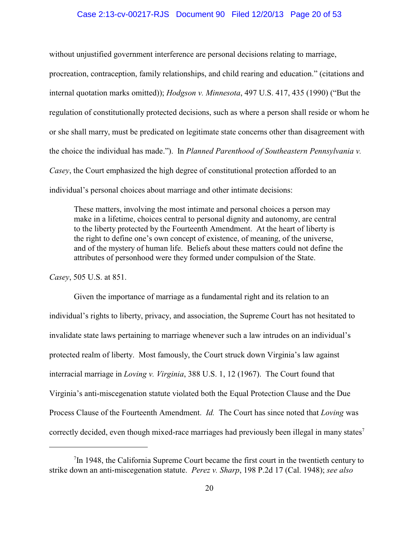# Case 2:13-cv-00217-RJS Document 90 Filed 12/20/13 Page 20 of 53

without unjustified government interference are personal decisions relating to marriage, procreation, contraception, family relationships, and child rearing and education." (citations and internal quotation marks omitted)); *Hodgson v. Minnesota*, 497 U.S. 417, 435 (1990) ("But the regulation of constitutionally protected decisions, such as where a person shall reside or whom he or she shall marry, must be predicated on legitimate state concerns other than disagreement with the choice the individual has made."). In *Planned Parenthood of Southeastern Pennsylvania v. Casey*, the Court emphasized the high degree of constitutional protection afforded to an individual's personal choices about marriage and other intimate decisions:

These matters, involving the most intimate and personal choices a person may make in a lifetime, choices central to personal dignity and autonomy, are central to the liberty protected by the Fourteenth Amendment. At the heart of liberty is the right to define one's own concept of existence, of meaning, of the universe, and of the mystery of human life. Beliefs about these matters could not define the attributes of personhood were they formed under compulsion of the State.

*Casey*, 505 U.S. at 851.

Given the importance of marriage as a fundamental right and its relation to an individual's rights to liberty, privacy, and association, the Supreme Court has not hesitated to invalidate state laws pertaining to marriage whenever such a law intrudes on an individual's protected realm of liberty. Most famously, the Court struck down Virginia's law against interracial marriage in *Loving v. Virginia*, 388 U.S. 1, 12 (1967). The Court found that Virginia's anti-miscegenation statute violated both the Equal Protection Clause and the Due Process Clause of the Fourteenth Amendment. *Id.* The Court has since noted that *Loving* was correctly decided, even though mixed-race marriages had previously been illegal in many states<sup>7</sup>

 $\frac{7}{1}$ In 1948, the California Supreme Court became the first court in the twentieth century to strike down an anti-miscegenation statute. *Perez v. Sharp*, 198 P.2d 17 (Cal. 1948); *see also*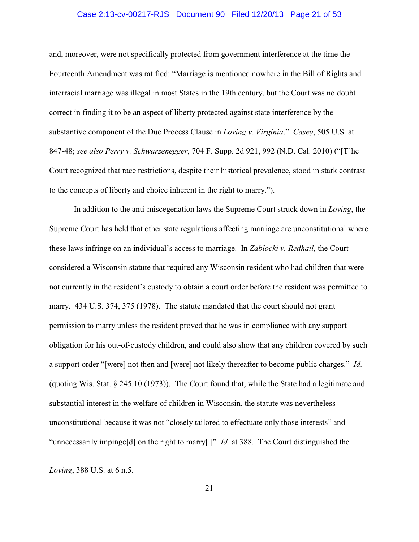# Case 2:13-cv-00217-RJS Document 90 Filed 12/20/13 Page 21 of 53

and, moreover, were not specifically protected from government interference at the time the Fourteenth Amendment was ratified: "Marriage is mentioned nowhere in the Bill of Rights and interracial marriage was illegal in most States in the 19th century, but the Court was no doubt correct in finding it to be an aspect of liberty protected against state interference by the substantive component of the Due Process Clause in *Loving v. Virginia*." *Casey*, 505 U.S. at 847-48; *see also Perry v. Schwarzenegger*, 704 F. Supp. 2d 921, 992 (N.D. Cal. 2010) ("[T]he Court recognized that race restrictions, despite their historical prevalence, stood in stark contrast to the concepts of liberty and choice inherent in the right to marry.").

In addition to the anti-miscegenation laws the Supreme Court struck down in *Loving*, the Supreme Court has held that other state regulations affecting marriage are unconstitutional where these laws infringe on an individual's access to marriage. In *Zablocki v. Redhail*, the Court considered a Wisconsin statute that required any Wisconsin resident who had children that were not currently in the resident's custody to obtain a court order before the resident was permitted to marry. 434 U.S. 374, 375 (1978). The statute mandated that the court should not grant permission to marry unless the resident proved that he was in compliance with any support obligation for his out-of-custody children, and could also show that any children covered by such a support order "[were] not then and [were] not likely thereafter to become public charges." *Id.* (quoting Wis. Stat. § 245.10 (1973)). The Court found that, while the State had a legitimate and substantial interest in the welfare of children in Wisconsin, the statute was nevertheless unconstitutional because it was not "closely tailored to effectuate only those interests" and "unnecessarily impinge[d] on the right to marry[.]" *Id.* at 388. The Court distinguished the

*Loving*, 388 U.S. at 6 n.5.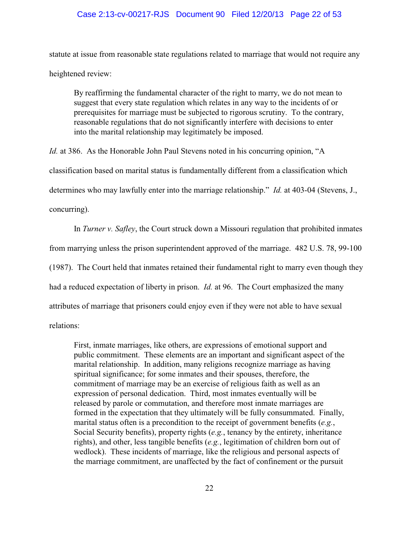# Case 2:13-cv-00217-RJS Document 90 Filed 12/20/13 Page 22 of 53

statute at issue from reasonable state regulations related to marriage that would not require any heightened review:

By reaffirming the fundamental character of the right to marry, we do not mean to suggest that every state regulation which relates in any way to the incidents of or prerequisites for marriage must be subjected to rigorous scrutiny. To the contrary, reasonable regulations that do not significantly interfere with decisions to enter into the marital relationship may legitimately be imposed.

*Id.* at 386. As the Honorable John Paul Stevens noted in his concurring opinion, "A classification based on marital status is fundamentally different from a classification which determines who may lawfully enter into the marriage relationship." *Id.* at 403-04 (Stevens, J., concurring).

In *Turner v. Safley*, the Court struck down a Missouri regulation that prohibited inmates from marrying unless the prison superintendent approved of the marriage. 482 U.S. 78, 99-100 (1987). The Court held that inmates retained their fundamental right to marry even though they had a reduced expectation of liberty in prison. *Id.* at 96. The Court emphasized the many attributes of marriage that prisoners could enjoy even if they were not able to have sexual relations:

First, inmate marriages, like others, are expressions of emotional support and public commitment. These elements are an important and significant aspect of the marital relationship. In addition, many religions recognize marriage as having spiritual significance; for some inmates and their spouses, therefore, the commitment of marriage may be an exercise of religious faith as well as an expression of personal dedication. Third, most inmates eventually will be released by parole or commutation, and therefore most inmate marriages are formed in the expectation that they ultimately will be fully consummated. Finally, marital status often is a precondition to the receipt of government benefits (*e.g.*, Social Security benefits), property rights (*e.g.*, tenancy by the entirety, inheritance rights), and other, less tangible benefits (*e.g.*, legitimation of children born out of wedlock). These incidents of marriage, like the religious and personal aspects of the marriage commitment, are unaffected by the fact of confinement or the pursuit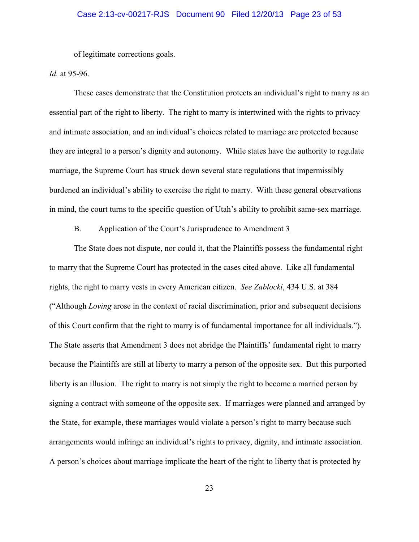of legitimate corrections goals.

*Id.* at 95-96.

These cases demonstrate that the Constitution protects an individual's right to marry as an essential part of the right to liberty. The right to marry is intertwined with the rights to privacy and intimate association, and an individual's choices related to marriage are protected because they are integral to a person's dignity and autonomy. While states have the authority to regulate marriage, the Supreme Court has struck down several state regulations that impermissibly burdened an individual's ability to exercise the right to marry. With these general observations in mind, the court turns to the specific question of Utah's ability to prohibit same-sex marriage.

# B. Application of the Court's Jurisprudence to Amendment 3

The State does not dispute, nor could it, that the Plaintiffs possess the fundamental right to marry that the Supreme Court has protected in the cases cited above. Like all fundamental rights, the right to marry vests in every American citizen. *See Zablocki*, 434 U.S. at 384 ("Although *Loving* arose in the context of racial discrimination, prior and subsequent decisions of this Court confirm that the right to marry is of fundamental importance for all individuals."). The State asserts that Amendment 3 does not abridge the Plaintiffs' fundamental right to marry because the Plaintiffs are still at liberty to marry a person of the opposite sex. But this purported liberty is an illusion. The right to marry is not simply the right to become a married person by signing a contract with someone of the opposite sex. If marriages were planned and arranged by the State, for example, these marriages would violate a person's right to marry because such arrangements would infringe an individual's rights to privacy, dignity, and intimate association. A person's choices about marriage implicate the heart of the right to liberty that is protected by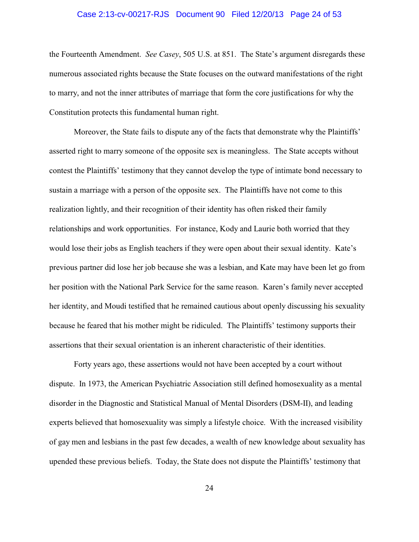# Case 2:13-cv-00217-RJS Document 90 Filed 12/20/13 Page 24 of 53

the Fourteenth Amendment. *See Casey*, 505 U.S. at 851. The State's argument disregards these numerous associated rights because the State focuses on the outward manifestations of the right to marry, and not the inner attributes of marriage that form the core justifications for why the Constitution protects this fundamental human right.

Moreover, the State fails to dispute any of the facts that demonstrate why the Plaintiffs' asserted right to marry someone of the opposite sex is meaningless. The State accepts without contest the Plaintiffs' testimony that they cannot develop the type of intimate bond necessary to sustain a marriage with a person of the opposite sex. The Plaintiffs have not come to this realization lightly, and their recognition of their identity has often risked their family relationships and work opportunities. For instance, Kody and Laurie both worried that they would lose their jobs as English teachers if they were open about their sexual identity. Kate's previous partner did lose her job because she was a lesbian, and Kate may have been let go from her position with the National Park Service for the same reason. Karen's family never accepted her identity, and Moudi testified that he remained cautious about openly discussing his sexuality because he feared that his mother might be ridiculed. The Plaintiffs' testimony supports their assertions that their sexual orientation is an inherent characteristic of their identities.

Forty years ago, these assertions would not have been accepted by a court without dispute. In 1973, the American Psychiatric Association still defined homosexuality as a mental disorder in the Diagnostic and Statistical Manual of Mental Disorders (DSM-II), and leading experts believed that homosexuality was simply a lifestyle choice. With the increased visibility of gay men and lesbians in the past few decades, a wealth of new knowledge about sexuality has upended these previous beliefs. Today, the State does not dispute the Plaintiffs' testimony that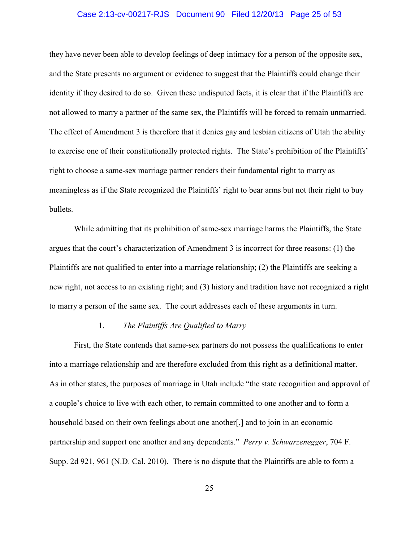# Case 2:13-cv-00217-RJS Document 90 Filed 12/20/13 Page 25 of 53

they have never been able to develop feelings of deep intimacy for a person of the opposite sex, and the State presents no argument or evidence to suggest that the Plaintiffs could change their identity if they desired to do so. Given these undisputed facts, it is clear that if the Plaintiffs are not allowed to marry a partner of the same sex, the Plaintiffs will be forced to remain unmarried. The effect of Amendment 3 is therefore that it denies gay and lesbian citizens of Utah the ability to exercise one of their constitutionally protected rights. The State's prohibition of the Plaintiffs' right to choose a same-sex marriage partner renders their fundamental right to marry as meaningless as if the State recognized the Plaintiffs' right to bear arms but not their right to buy bullets.

While admitting that its prohibition of same-sex marriage harms the Plaintiffs, the State argues that the court's characterization of Amendment 3 is incorrect for three reasons: (1) the Plaintiffs are not qualified to enter into a marriage relationship; (2) the Plaintiffs are seeking a new right, not access to an existing right; and (3) history and tradition have not recognized a right to marry a person of the same sex. The court addresses each of these arguments in turn.

# 1. *The Plaintiffs Are Qualified to Marry*

First, the State contends that same-sex partners do not possess the qualifications to enter into a marriage relationship and are therefore excluded from this right as a definitional matter. As in other states, the purposes of marriage in Utah include "the state recognition and approval of a couple's choice to live with each other, to remain committed to one another and to form a household based on their own feelings about one another. and to join in an economic partnership and support one another and any dependents." *Perry v. Schwarzenegger*, 704 F. Supp. 2d 921, 961 (N.D. Cal. 2010). There is no dispute that the Plaintiffs are able to form a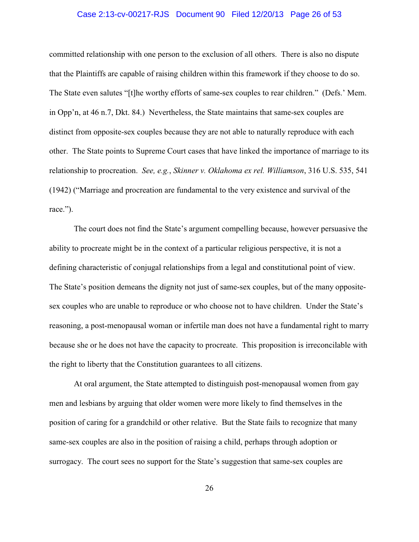#### Case 2:13-cv-00217-RJS Document 90 Filed 12/20/13 Page 26 of 53

committed relationship with one person to the exclusion of all others. There is also no dispute that the Plaintiffs are capable of raising children within this framework if they choose to do so. The State even salutes "[t]he worthy efforts of same-sex couples to rear children." (Defs.' Mem. in Opp'n, at 46 n.7, Dkt. 84.) Nevertheless, the State maintains that same-sex couples are distinct from opposite-sex couples because they are not able to naturally reproduce with each other. The State points to Supreme Court cases that have linked the importance of marriage to its relationship to procreation. *See, e.g.*, *Skinner v. Oklahoma ex rel. Williamson*, 316 U.S. 535, 541 (1942) ("Marriage and procreation are fundamental to the very existence and survival of the race.").

The court does not find the State's argument compelling because, however persuasive the ability to procreate might be in the context of a particular religious perspective, it is not a defining characteristic of conjugal relationships from a legal and constitutional point of view. The State's position demeans the dignity not just of same-sex couples, but of the many oppositesex couples who are unable to reproduce or who choose not to have children. Under the State's reasoning, a post-menopausal woman or infertile man does not have a fundamental right to marry because she or he does not have the capacity to procreate. This proposition is irreconcilable with the right to liberty that the Constitution guarantees to all citizens.

At oral argument, the State attempted to distinguish post-menopausal women from gay men and lesbians by arguing that older women were more likely to find themselves in the position of caring for a grandchild or other relative. But the State fails to recognize that many same-sex couples are also in the position of raising a child, perhaps through adoption or surrogacy. The court sees no support for the State's suggestion that same-sex couples are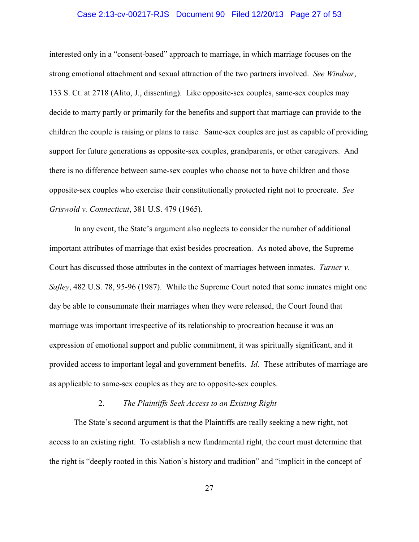# Case 2:13-cv-00217-RJS Document 90 Filed 12/20/13 Page 27 of 53

interested only in a "consent-based" approach to marriage, in which marriage focuses on the strong emotional attachment and sexual attraction of the two partners involved. *See Windsor*, 133 S. Ct. at 2718 (Alito, J., dissenting). Like opposite-sex couples, same-sex couples may decide to marry partly or primarily for the benefits and support that marriage can provide to the children the couple is raising or plans to raise. Same-sex couples are just as capable of providing support for future generations as opposite-sex couples, grandparents, or other caregivers. And there is no difference between same-sex couples who choose not to have children and those opposite-sex couples who exercise their constitutionally protected right not to procreate. *See Griswold v. Connecticut*, 381 U.S. 479 (1965).

In any event, the State's argument also neglects to consider the number of additional important attributes of marriage that exist besides procreation. As noted above, the Supreme Court has discussed those attributes in the context of marriages between inmates. *Turner v. Safley*, 482 U.S. 78, 95-96 (1987). While the Supreme Court noted that some inmates might one day be able to consummate their marriages when they were released, the Court found that marriage was important irrespective of its relationship to procreation because it was an expression of emotional support and public commitment, it was spiritually significant, and it provided access to important legal and government benefits. *Id.* These attributes of marriage are as applicable to same-sex couples as they are to opposite-sex couples.

# 2. *The Plaintiffs Seek Access to an Existing Right*

The State's second argument is that the Plaintiffs are really seeking a new right, not access to an existing right. To establish a new fundamental right, the court must determine that the right is "deeply rooted in this Nation's history and tradition" and "implicit in the concept of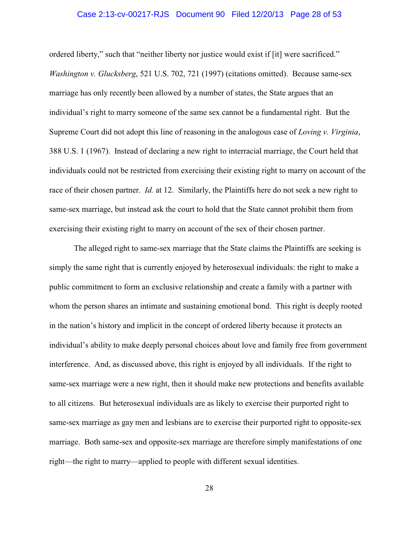# Case 2:13-cv-00217-RJS Document 90 Filed 12/20/13 Page 28 of 53

ordered liberty," such that "neither liberty nor justice would exist if [it] were sacrificed." *Washington v. Glucksberg*, 521 U.S. 702, 721 (1997) (citations omitted). Because same-sex marriage has only recently been allowed by a number of states, the State argues that an individual's right to marry someone of the same sex cannot be a fundamental right. But the Supreme Court did not adopt this line of reasoning in the analogous case of *Loving v. Virginia*, 388 U.S. 1 (1967). Instead of declaring a new right to interracial marriage, the Court held that individuals could not be restricted from exercising their existing right to marry on account of the race of their chosen partner. *Id.* at 12. Similarly, the Plaintiffs here do not seek a new right to same-sex marriage, but instead ask the court to hold that the State cannot prohibit them from exercising their existing right to marry on account of the sex of their chosen partner.

The alleged right to same-sex marriage that the State claims the Plaintiffs are seeking is simply the same right that is currently enjoyed by heterosexual individuals: the right to make a public commitment to form an exclusive relationship and create a family with a partner with whom the person shares an intimate and sustaining emotional bond. This right is deeply rooted in the nation's history and implicit in the concept of ordered liberty because it protects an individual's ability to make deeply personal choices about love and family free from government interference. And, as discussed above, this right is enjoyed by all individuals. If the right to same-sex marriage were a new right, then it should make new protections and benefits available to all citizens. But heterosexual individuals are as likely to exercise their purported right to same-sex marriage as gay men and lesbians are to exercise their purported right to opposite-sex marriage. Both same-sex and opposite-sex marriage are therefore simply manifestations of one right—the right to marry—applied to people with different sexual identities.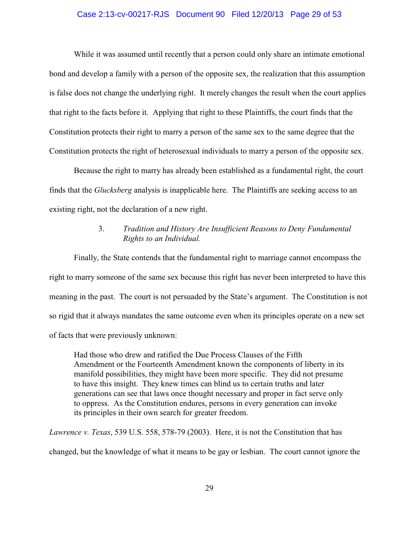# Case 2:13-cv-00217-RJS Document 90 Filed 12/20/13 Page 29 of 53

While it was assumed until recently that a person could only share an intimate emotional bond and develop a family with a person of the opposite sex, the realization that this assumption is false does not change the underlying right. It merely changes the result when the court applies that right to the facts before it. Applying that right to these Plaintiffs, the court finds that the Constitution protects their right to marry a person of the same sex to the same degree that the Constitution protects the right of heterosexual individuals to marry a person of the opposite sex.

Because the right to marry has already been established as a fundamental right, the court finds that the *Glucksberg* analysis is inapplicable here. The Plaintiffs are seeking access to an existing right, not the declaration of a new right.

# 3. *Tradition and History Are Insufficient Reasons to Deny Fundamental Rights to an Individual.*

Finally, the State contends that the fundamental right to marriage cannot encompass the right to marry someone of the same sex because this right has never been interpreted to have this meaning in the past. The court is not persuaded by the State's argument. The Constitution is not so rigid that it always mandates the same outcome even when its principles operate on a new set of facts that were previously unknown:

Had those who drew and ratified the Due Process Clauses of the Fifth Amendment or the Fourteenth Amendment known the components of liberty in its manifold possibilities, they might have been more specific. They did not presume to have this insight. They knew times can blind us to certain truths and later generations can see that laws once thought necessary and proper in fact serve only to oppress. As the Constitution endures, persons in every generation can invoke its principles in their own search for greater freedom.

*Lawrence v. Texas*, 539 U.S. 558, 578-79 (2003). Here, it is not the Constitution that has changed, but the knowledge of what it means to be gay or lesbian. The court cannot ignore the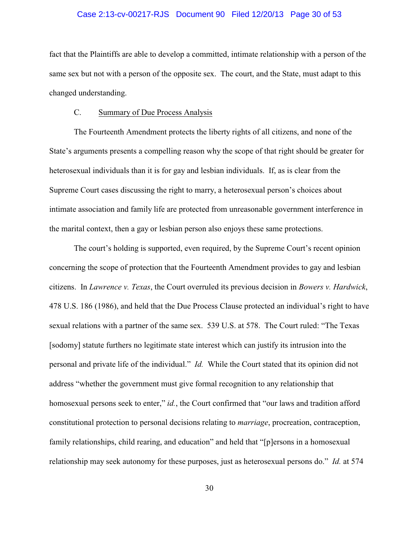#### Case 2:13-cv-00217-RJS Document 90 Filed 12/20/13 Page 30 of 53

fact that the Plaintiffs are able to develop a committed, intimate relationship with a person of the same sex but not with a person of the opposite sex. The court, and the State, must adapt to this changed understanding.

### C. Summary of Due Process Analysis

The Fourteenth Amendment protects the liberty rights of all citizens, and none of the State's arguments presents a compelling reason why the scope of that right should be greater for heterosexual individuals than it is for gay and lesbian individuals. If, as is clear from the Supreme Court cases discussing the right to marry, a heterosexual person's choices about intimate association and family life are protected from unreasonable government interference in the marital context, then a gay or lesbian person also enjoys these same protections.

The court's holding is supported, even required, by the Supreme Court's recent opinion concerning the scope of protection that the Fourteenth Amendment provides to gay and lesbian citizens. In *Lawrence v. Texas*, the Court overruled its previous decision in *Bowers v. Hardwick*, 478 U.S. 186 (1986), and held that the Due Process Clause protected an individual's right to have sexual relations with a partner of the same sex. 539 U.S. at 578. The Court ruled: "The Texas [sodomy] statute furthers no legitimate state interest which can justify its intrusion into the personal and private life of the individual." *Id.* While the Court stated that its opinion did not address "whether the government must give formal recognition to any relationship that homosexual persons seek to enter," *id.*, the Court confirmed that "our laws and tradition afford constitutional protection to personal decisions relating to *marriage*, procreation, contraception, family relationships, child rearing, and education" and held that "[p]ersons in a homosexual relationship may seek autonomy for these purposes, just as heterosexual persons do." *Id.* at 574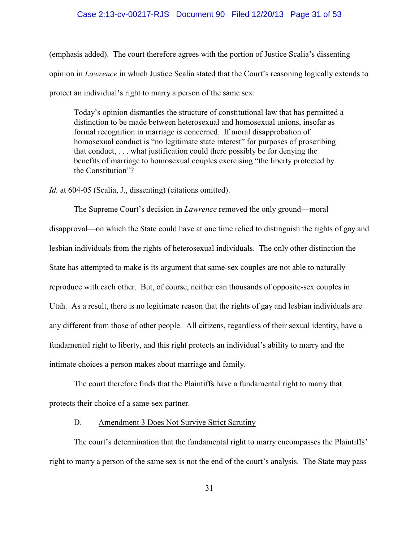# Case 2:13-cv-00217-RJS Document 90 Filed 12/20/13 Page 31 of 53

(emphasis added). The court therefore agrees with the portion of Justice Scalia's dissenting opinion in *Lawrence* in which Justice Scalia stated that the Court's reasoning logically extends to protect an individual's right to marry a person of the same sex:

Today's opinion dismantles the structure of constitutional law that has permitted a distinction to be made between heterosexual and homosexual unions, insofar as formal recognition in marriage is concerned. If moral disapprobation of homosexual conduct is "no legitimate state interest" for purposes of proscribing that conduct, . . . what justification could there possibly be for denying the benefits of marriage to homosexual couples exercising "the liberty protected by the Constitution"?

*Id.* at 604-05 (Scalia, J., dissenting) (citations omitted).

The Supreme Court's decision in *Lawrence* removed the only ground—moral disapproval—on which the State could have at one time relied to distinguish the rights of gay and lesbian individuals from the rights of heterosexual individuals. The only other distinction the State has attempted to make is its argument that same-sex couples are not able to naturally reproduce with each other. But, of course, neither can thousands of opposite-sex couples in Utah. As a result, there is no legitimate reason that the rights of gay and lesbian individuals are any different from those of other people. All citizens, regardless of their sexual identity, have a fundamental right to liberty, and this right protects an individual's ability to marry and the intimate choices a person makes about marriage and family.

The court therefore finds that the Plaintiffs have a fundamental right to marry that protects their choice of a same-sex partner.

# D. Amendment 3 Does Not Survive Strict Scrutiny

The court's determination that the fundamental right to marry encompasses the Plaintiffs' right to marry a person of the same sex is not the end of the court's analysis. The State may pass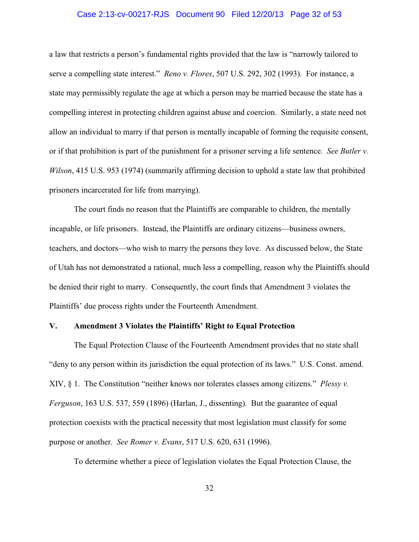# Case 2:13-cv-00217-RJS Document 90 Filed 12/20/13 Page 32 of 53

a law that restricts a person's fundamental rights provided that the law is "narrowly tailored to serve a compelling state interest." *Reno v. Flores*, 507 U.S. 292, 302 (1993). For instance, a state may permissibly regulate the age at which a person may be married because the state has a compelling interest in protecting children against abuse and coercion. Similarly, a state need not allow an individual to marry if that person is mentally incapable of forming the requisite consent, or if that prohibition is part of the punishment for a prisoner serving a life sentence. *See Butler v. Wilson*, 415 U.S. 953 (1974) (summarily affirming decision to uphold a state law that prohibited prisoners incarcerated for life from marrying).

The court finds no reason that the Plaintiffs are comparable to children, the mentally incapable, or life prisoners. Instead, the Plaintiffs are ordinary citizens—business owners, teachers, and doctors—who wish to marry the persons they love. As discussed below, the State of Utah has not demonstrated a rational, much less a compelling, reason why the Plaintiffs should be denied their right to marry. Consequently, the court finds that Amendment 3 violates the Plaintiffs' due process rights under the Fourteenth Amendment.

# **V. Amendment 3 Violates the Plaintiffs' Right to Equal Protection**

The Equal Protection Clause of the Fourteenth Amendment provides that no state shall "deny to any person within its jurisdiction the equal protection of its laws." U.S. Const. amend. XIV, § 1. The Constitution "neither knows nor tolerates classes among citizens." *Plessy v. Ferguson*, 163 U.S. 537, 559 (1896) (Harlan, J., dissenting). But the guarantee of equal protection coexists with the practical necessity that most legislation must classify for some purpose or another. *See Romer v. Evans*, 517 U.S. 620, 631 (1996).

To determine whether a piece of legislation violates the Equal Protection Clause, the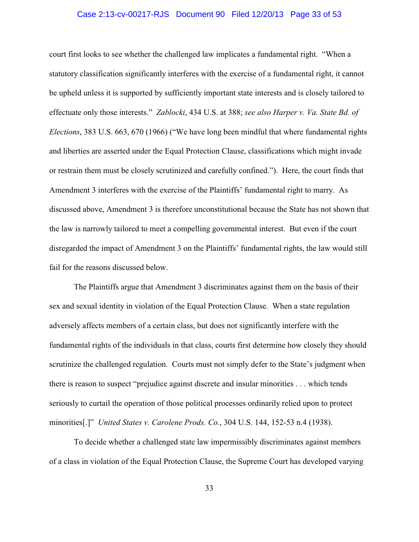# Case 2:13-cv-00217-RJS Document 90 Filed 12/20/13 Page 33 of 53

court first looks to see whether the challenged law implicates a fundamental right. "When a statutory classification significantly interferes with the exercise of a fundamental right, it cannot be upheld unless it is supported by sufficiently important state interests and is closely tailored to effectuate only those interests." *Zablocki*, 434 U.S. at 388; *see also Harper v. Va. State Bd. of Elections*, 383 U.S. 663, 670 (1966) ("We have long been mindful that where fundamental rights and liberties are asserted under the Equal Protection Clause, classifications which might invade or restrain them must be closely scrutinized and carefully confined."). Here, the court finds that Amendment 3 interferes with the exercise of the Plaintiffs' fundamental right to marry. As discussed above, Amendment 3 is therefore unconstitutional because the State has not shown that the law is narrowly tailored to meet a compelling governmental interest. But even if the court disregarded the impact of Amendment 3 on the Plaintiffs' fundamental rights, the law would still fail for the reasons discussed below.

The Plaintiffs argue that Amendment 3 discriminates against them on the basis of their sex and sexual identity in violation of the Equal Protection Clause. When a state regulation adversely affects members of a certain class, but does not significantly interfere with the fundamental rights of the individuals in that class, courts first determine how closely they should scrutinize the challenged regulation. Courts must not simply defer to the State's judgment when there is reason to suspect "prejudice against discrete and insular minorities . . . which tends seriously to curtail the operation of those political processes ordinarily relied upon to protect minorities[.]" *United States v. Carolene Prods. Co.*, 304 U.S. 144, 152-53 n.4 (1938).

To decide whether a challenged state law impermissibly discriminates against members of a class in violation of the Equal Protection Clause, the Supreme Court has developed varying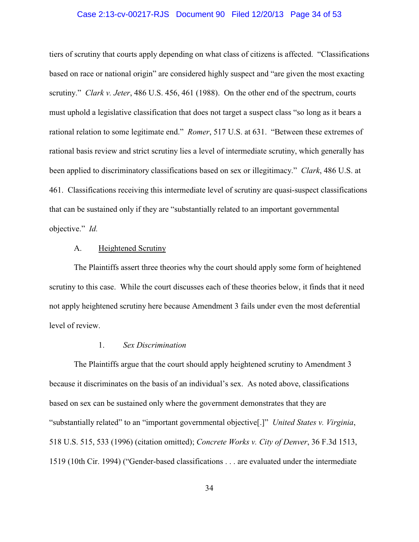#### Case 2:13-cv-00217-RJS Document 90 Filed 12/20/13 Page 34 of 53

tiers of scrutiny that courts apply depending on what class of citizens is affected. "Classifications based on race or national origin" are considered highly suspect and "are given the most exacting scrutiny." *Clark v. Jeter*, 486 U.S. 456, 461 (1988). On the other end of the spectrum, courts must uphold a legislative classification that does not target a suspect class "so long as it bears a rational relation to some legitimate end." *Romer*, 517 U.S. at 631. "Between these extremes of rational basis review and strict scrutiny lies a level of intermediate scrutiny, which generally has been applied to discriminatory classifications based on sex or illegitimacy." *Clark*, 486 U.S. at 461. Classifications receiving this intermediate level of scrutiny are quasi-suspect classifications that can be sustained only if they are "substantially related to an important governmental objective." *Id.*

# A. Heightened Scrutiny

The Plaintiffs assert three theories why the court should apply some form of heightened scrutiny to this case. While the court discusses each of these theories below, it finds that it need not apply heightened scrutiny here because Amendment 3 fails under even the most deferential level of review.

# 1. *Sex Discrimination*

The Plaintiffs argue that the court should apply heightened scrutiny to Amendment 3 because it discriminates on the basis of an individual's sex. As noted above, classifications based on sex can be sustained only where the government demonstrates that they are "substantially related" to an "important governmental objective[.]" *United States v. Virginia*, 518 U.S. 515, 533 (1996) (citation omitted); *Concrete Works v. City of Denver*, 36 F.3d 1513, 1519 (10th Cir. 1994) ("Gender-based classifications . . . are evaluated under the intermediate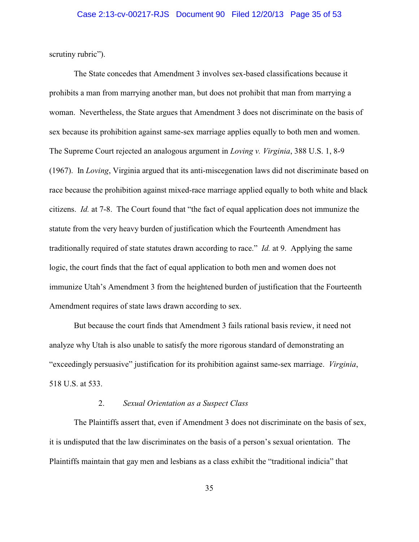scrutiny rubric").

The State concedes that Amendment 3 involves sex-based classifications because it prohibits a man from marrying another man, but does not prohibit that man from marrying a woman. Nevertheless, the State argues that Amendment 3 does not discriminate on the basis of sex because its prohibition against same-sex marriage applies equally to both men and women. The Supreme Court rejected an analogous argument in *Loving v. Virginia*, 388 U.S. 1, 8-9 (1967). In *Loving*, Virginia argued that its anti-miscegenation laws did not discriminate based on race because the prohibition against mixed-race marriage applied equally to both white and black citizens. *Id.* at 7-8. The Court found that "the fact of equal application does not immunize the statute from the very heavy burden of justification which the Fourteenth Amendment has traditionally required of state statutes drawn according to race." *Id.* at 9. Applying the same logic, the court finds that the fact of equal application to both men and women does not immunize Utah's Amendment 3 from the heightened burden of justification that the Fourteenth Amendment requires of state laws drawn according to sex.

But because the court finds that Amendment 3 fails rational basis review, it need not analyze why Utah is also unable to satisfy the more rigorous standard of demonstrating an "exceedingly persuasive" justification for its prohibition against same-sex marriage. *Virginia*, 518 U.S. at 533.

# 2. *Sexual Orientation as a Suspect Class*

The Plaintiffs assert that, even if Amendment 3 does not discriminate on the basis of sex, it is undisputed that the law discriminates on the basis of a person's sexual orientation. The Plaintiffs maintain that gay men and lesbians as a class exhibit the "traditional indicia" that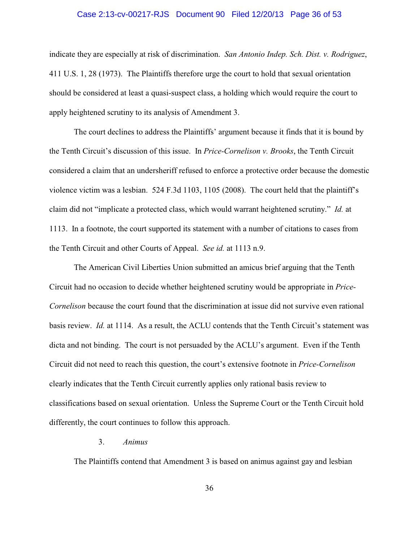#### Case 2:13-cv-00217-RJS Document 90 Filed 12/20/13 Page 36 of 53

indicate they are especially at risk of discrimination. *San Antonio Indep. Sch. Dist. v. Rodriguez*, 411 U.S. 1, 28 (1973). The Plaintiffs therefore urge the court to hold that sexual orientation should be considered at least a quasi-suspect class, a holding which would require the court to apply heightened scrutiny to its analysis of Amendment 3.

The court declines to address the Plaintiffs' argument because it finds that it is bound by the Tenth Circuit's discussion of this issue. In *Price-Cornelison v. Brooks*, the Tenth Circuit considered a claim that an undersheriff refused to enforce a protective order because the domestic violence victim was a lesbian. 524 F.3d 1103, 1105 (2008). The court held that the plaintiff's claim did not "implicate a protected class, which would warrant heightened scrutiny." *Id.* at 1113. In a footnote, the court supported its statement with a number of citations to cases from the Tenth Circuit and other Courts of Appeal. *See id.* at 1113 n.9.

The American Civil Liberties Union submitted an amicus brief arguing that the Tenth Circuit had no occasion to decide whether heightened scrutiny would be appropriate in *Price-Cornelison* because the court found that the discrimination at issue did not survive even rational basis review. *Id.* at 1114. As a result, the ACLU contends that the Tenth Circuit's statement was dicta and not binding. The court is not persuaded by the ACLU's argument. Even if the Tenth Circuit did not need to reach this question, the court's extensive footnote in *Price-Cornelison* clearly indicates that the Tenth Circuit currently applies only rational basis review to classifications based on sexual orientation. Unless the Supreme Court or the Tenth Circuit hold differently, the court continues to follow this approach.

# 3. *Animus*

The Plaintiffs contend that Amendment 3 is based on animus against gay and lesbian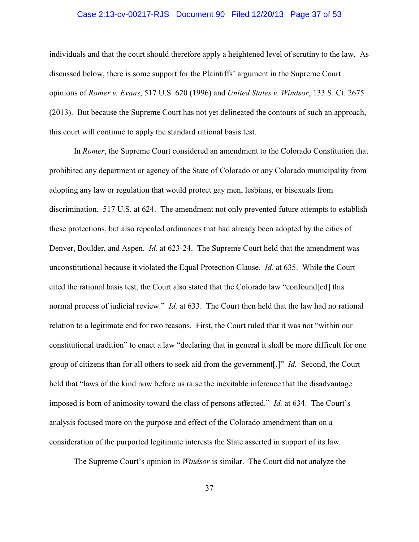# Case 2:13-cv-00217-RJS Document 90 Filed 12/20/13 Page 37 of 53

individuals and that the court should therefore apply a heightened level of scrutiny to the law. As discussed below, there is some support for the Plaintiffs' argument in the Supreme Court opinions of *Romer v. Evans*, 517 U.S. 620 (1996) and *United States v. Windsor*, 133 S. Ct. 2675 (2013). But because the Supreme Court has not yet delineated the contours of such an approach, this court will continue to apply the standard rational basis test.

In *Romer*, the Supreme Court considered an amendment to the Colorado Constitution that prohibited any department or agency of the State of Colorado or any Colorado municipality from adopting any law or regulation that would protect gay men, lesbians, or bisexuals from discrimination. 517 U.S. at 624. The amendment not only prevented future attempts to establish these protections, but also repealed ordinances that had already been adopted by the cities of Denver, Boulder, and Aspen. *Id.* at 623-24. The Supreme Court held that the amendment was unconstitutional because it violated the Equal Protection Clause. *Id.* at 635. While the Court cited the rational basis test, the Court also stated that the Colorado law "confound[ed] this normal process of judicial review." *Id.* at 633. The Court then held that the law had no rational relation to a legitimate end for two reasons. First, the Court ruled that it was not "within our constitutional tradition" to enact a law "declaring that in general it shall be more difficult for one group of citizens than for all others to seek aid from the government[.]" *Id.* Second, the Court held that "laws of the kind now before us raise the inevitable inference that the disadvantage imposed is born of animosity toward the class of persons affected." *Id.* at 634. The Court's analysis focused more on the purpose and effect of the Colorado amendment than on a consideration of the purported legitimate interests the State asserted in support of its law.

The Supreme Court's opinion in *Windsor* is similar. The Court did not analyze the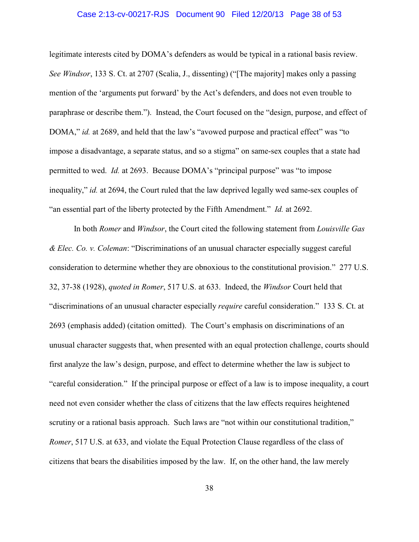# Case 2:13-cv-00217-RJS Document 90 Filed 12/20/13 Page 38 of 53

legitimate interests cited by DOMA's defenders as would be typical in a rational basis review. *See Windsor*, 133 S. Ct. at 2707 (Scalia, J., dissenting) ("[The majority] makes only a passing mention of the 'arguments put forward' by the Act's defenders, and does not even trouble to paraphrase or describe them."). Instead, the Court focused on the "design, purpose, and effect of DOMA," *id.* at 2689, and held that the law's "avowed purpose and practical effect" was "to impose a disadvantage, a separate status, and so a stigma" on same-sex couples that a state had permitted to wed. *Id.* at 2693. Because DOMA's "principal purpose" was "to impose inequality," *id.* at 2694, the Court ruled that the law deprived legally wed same-sex couples of "an essential part of the liberty protected by the Fifth Amendment." *Id.* at 2692.

In both *Romer* and *Windsor*, the Court cited the following statement from *Louisville Gas & Elec. Co. v. Coleman*: "Discriminations of an unusual character especially suggest careful consideration to determine whether they are obnoxious to the constitutional provision." 277 U.S. 32, 37-38 (1928), *quoted in Romer*, 517 U.S. at 633. Indeed, the *Windsor* Court held that "discriminations of an unusual character especially *require* careful consideration." 133 S. Ct. at 2693 (emphasis added) (citation omitted). The Court's emphasis on discriminations of an unusual character suggests that, when presented with an equal protection challenge, courts should first analyze the law's design, purpose, and effect to determine whether the law is subject to "careful consideration." If the principal purpose or effect of a law is to impose inequality, a court need not even consider whether the class of citizens that the law effects requires heightened scrutiny or a rational basis approach. Such laws are "not within our constitutional tradition," *Romer*, 517 U.S. at 633, and violate the Equal Protection Clause regardless of the class of citizens that bears the disabilities imposed by the law. If, on the other hand, the law merely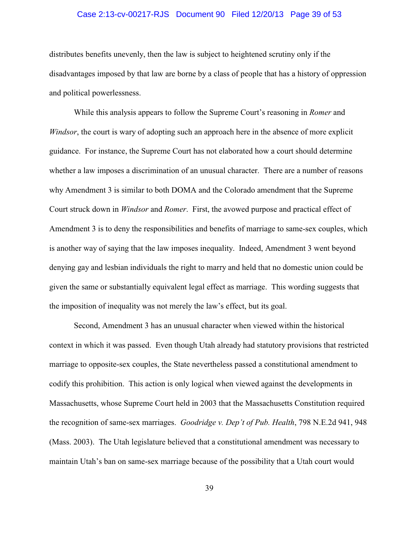# Case 2:13-cv-00217-RJS Document 90 Filed 12/20/13 Page 39 of 53

distributes benefits unevenly, then the law is subject to heightened scrutiny only if the disadvantages imposed by that law are borne by a class of people that has a history of oppression and political powerlessness.

While this analysis appears to follow the Supreme Court's reasoning in *Romer* and *Windsor*, the court is wary of adopting such an approach here in the absence of more explicit guidance. For instance, the Supreme Court has not elaborated how a court should determine whether a law imposes a discrimination of an unusual character. There are a number of reasons why Amendment 3 is similar to both DOMA and the Colorado amendment that the Supreme Court struck down in *Windsor* and *Romer*. First, the avowed purpose and practical effect of Amendment 3 is to deny the responsibilities and benefits of marriage to same-sex couples, which is another way of saying that the law imposes inequality. Indeed, Amendment 3 went beyond denying gay and lesbian individuals the right to marry and held that no domestic union could be given the same or substantially equivalent legal effect as marriage. This wording suggests that the imposition of inequality was not merely the law's effect, but its goal.

Second, Amendment 3 has an unusual character when viewed within the historical context in which it was passed. Even though Utah already had statutory provisions that restricted marriage to opposite-sex couples, the State nevertheless passed a constitutional amendment to codify this prohibition. This action is only logical when viewed against the developments in Massachusetts, whose Supreme Court held in 2003 that the Massachusetts Constitution required the recognition of same-sex marriages. *Goodridge v. Dep't of Pub. Health*, 798 N.E.2d 941, 948 (Mass. 2003). The Utah legislature believed that a constitutional amendment was necessary to maintain Utah's ban on same-sex marriage because of the possibility that a Utah court would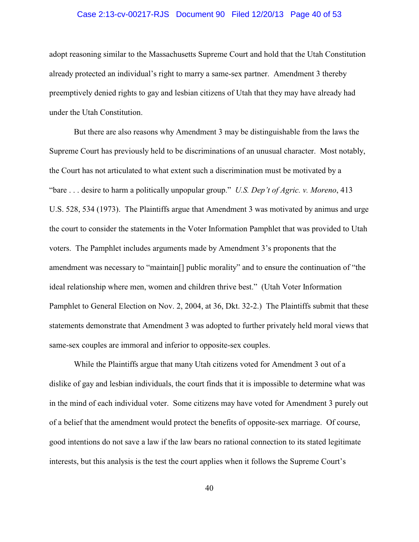# Case 2:13-cv-00217-RJS Document 90 Filed 12/20/13 Page 40 of 53

adopt reasoning similar to the Massachusetts Supreme Court and hold that the Utah Constitution already protected an individual's right to marry a same-sex partner. Amendment 3 thereby preemptively denied rights to gay and lesbian citizens of Utah that they may have already had under the Utah Constitution.

But there are also reasons why Amendment 3 may be distinguishable from the laws the Supreme Court has previously held to be discriminations of an unusual character. Most notably, the Court has not articulated to what extent such a discrimination must be motivated by a "bare . . . desire to harm a politically unpopular group." *U.S. Dep't of Agric. v. Moreno*, 413 U.S. 528, 534 (1973). The Plaintiffs argue that Amendment 3 was motivated by animus and urge the court to consider the statements in the Voter Information Pamphlet that was provided to Utah voters. The Pamphlet includes arguments made by Amendment 3's proponents that the amendment was necessary to "maintain[] public morality" and to ensure the continuation of "the ideal relationship where men, women and children thrive best." (Utah Voter Information Pamphlet to General Election on Nov. 2, 2004, at 36, Dkt. 32-2.) The Plaintiffs submit that these statements demonstrate that Amendment 3 was adopted to further privately held moral views that same-sex couples are immoral and inferior to opposite-sex couples.

While the Plaintiffs argue that many Utah citizens voted for Amendment 3 out of a dislike of gay and lesbian individuals, the court finds that it is impossible to determine what was in the mind of each individual voter. Some citizens may have voted for Amendment 3 purely out of a belief that the amendment would protect the benefits of opposite-sex marriage. Of course, good intentions do not save a law if the law bears no rational connection to its stated legitimate interests, but this analysis is the test the court applies when it follows the Supreme Court's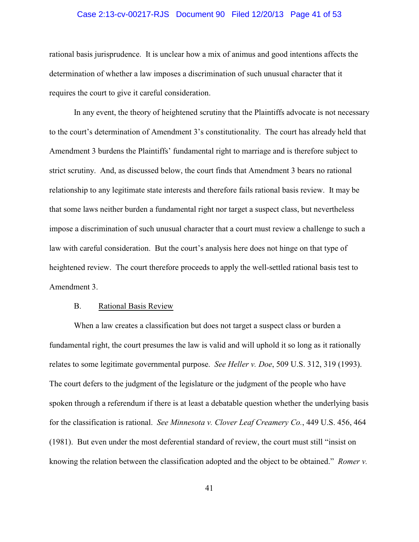#### Case 2:13-cv-00217-RJS Document 90 Filed 12/20/13 Page 41 of 53

rational basis jurisprudence. It is unclear how a mix of animus and good intentions affects the determination of whether a law imposes a discrimination of such unusual character that it requires the court to give it careful consideration.

In any event, the theory of heightened scrutiny that the Plaintiffs advocate is not necessary to the court's determination of Amendment 3's constitutionality. The court has already held that Amendment 3 burdens the Plaintiffs' fundamental right to marriage and is therefore subject to strict scrutiny. And, as discussed below, the court finds that Amendment 3 bears no rational relationship to any legitimate state interests and therefore fails rational basis review. It may be that some laws neither burden a fundamental right nor target a suspect class, but nevertheless impose a discrimination of such unusual character that a court must review a challenge to such a law with careful consideration. But the court's analysis here does not hinge on that type of heightened review. The court therefore proceeds to apply the well-settled rational basis test to Amendment 3.

# B. Rational Basis Review

When a law creates a classification but does not target a suspect class or burden a fundamental right, the court presumes the law is valid and will uphold it so long as it rationally relates to some legitimate governmental purpose. *See Heller v. Doe*, 509 U.S. 312, 319 (1993). The court defers to the judgment of the legislature or the judgment of the people who have spoken through a referendum if there is at least a debatable question whether the underlying basis for the classification is rational. *See Minnesota v. Clover Leaf Creamery Co.*, 449 U.S. 456, 464 (1981). But even under the most deferential standard of review, the court must still "insist on knowing the relation between the classification adopted and the object to be obtained." *Romer v.*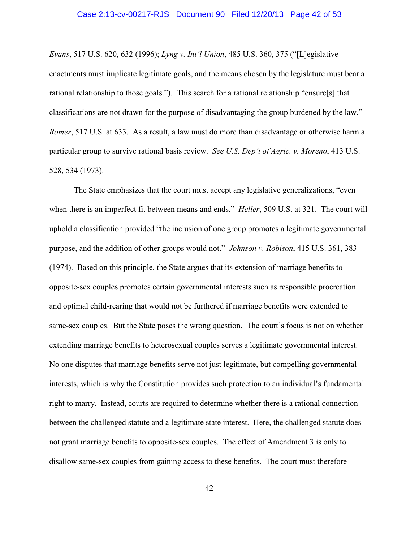# Case 2:13-cv-00217-RJS Document 90 Filed 12/20/13 Page 42 of 53

*Evans*, 517 U.S. 620, 632 (1996); *Lyng v. Int'l Union*, 485 U.S. 360, 375 ("[L]egislative enactments must implicate legitimate goals, and the means chosen by the legislature must bear a rational relationship to those goals."). This search for a rational relationship "ensure[s] that classifications are not drawn for the purpose of disadvantaging the group burdened by the law." *Romer*, 517 U.S. at 633. As a result, a law must do more than disadvantage or otherwise harm a particular group to survive rational basis review. *See U.S. Dep't of Agric. v. Moreno*, 413 U.S. 528, 534 (1973).

The State emphasizes that the court must accept any legislative generalizations, "even when there is an imperfect fit between means and ends." *Heller*, 509 U.S. at 321. The court will uphold a classification provided "the inclusion of one group promotes a legitimate governmental purpose, and the addition of other groups would not." *Johnson v. Robison*, 415 U.S. 361, 383 (1974). Based on this principle, the State argues that its extension of marriage benefits to opposite-sex couples promotes certain governmental interests such as responsible procreation and optimal child-rearing that would not be furthered if marriage benefits were extended to same-sex couples. But the State poses the wrong question. The court's focus is not on whether extending marriage benefits to heterosexual couples serves a legitimate governmental interest. No one disputes that marriage benefits serve not just legitimate, but compelling governmental interests, which is why the Constitution provides such protection to an individual's fundamental right to marry. Instead, courts are required to determine whether there is a rational connection between the challenged statute and a legitimate state interest. Here, the challenged statute does not grant marriage benefits to opposite-sex couples. The effect of Amendment 3 is only to disallow same-sex couples from gaining access to these benefits. The court must therefore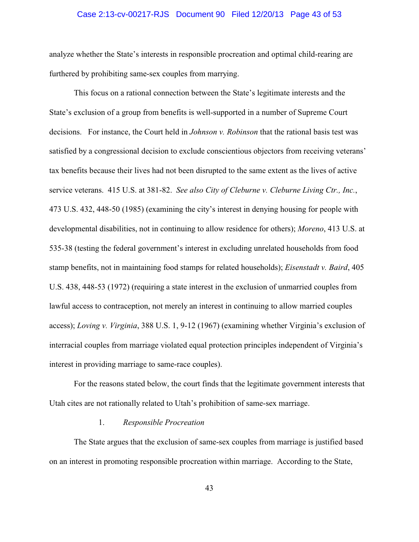# Case 2:13-cv-00217-RJS Document 90 Filed 12/20/13 Page 43 of 53

analyze whether the State's interests in responsible procreation and optimal child-rearing are furthered by prohibiting same-sex couples from marrying.

This focus on a rational connection between the State's legitimate interests and the State's exclusion of a group from benefits is well-supported in a number of Supreme Court decisions. For instance, the Court held in *Johnson v. Robinson* that the rational basis test was satisfied by a congressional decision to exclude conscientious objectors from receiving veterans' tax benefits because their lives had not been disrupted to the same extent as the lives of active service veterans. 415 U.S. at 381-82. *See also City of Cleburne v. Cleburne Living Ctr., Inc.*, 473 U.S. 432, 448-50 (1985) (examining the city's interest in denying housing for people with developmental disabilities, not in continuing to allow residence for others); *Moreno*, 413 U.S. at 535-38 (testing the federal government's interest in excluding unrelated households from food stamp benefits, not in maintaining food stamps for related households); *Eisenstadt v. Baird*, 405 U.S. 438, 448-53 (1972) (requiring a state interest in the exclusion of unmarried couples from lawful access to contraception, not merely an interest in continuing to allow married couples access); *Loving v. Virginia*, 388 U.S. 1, 9-12 (1967) (examining whether Virginia's exclusion of interracial couples from marriage violated equal protection principles independent of Virginia's interest in providing marriage to same-race couples).

For the reasons stated below, the court finds that the legitimate government interests that Utah cites are not rationally related to Utah's prohibition of same-sex marriage.

# 1. *Responsible Procreation*

The State argues that the exclusion of same-sex couples from marriage is justified based on an interest in promoting responsible procreation within marriage. According to the State,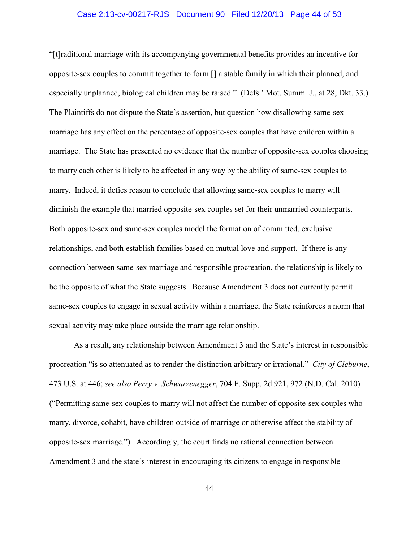# Case 2:13-cv-00217-RJS Document 90 Filed 12/20/13 Page 44 of 53

"[t]raditional marriage with its accompanying governmental benefits provides an incentive for opposite-sex couples to commit together to form [] a stable family in which their planned, and especially unplanned, biological children may be raised." (Defs.' Mot. Summ. J., at 28, Dkt. 33.) The Plaintiffs do not dispute the State's assertion, but question how disallowing same-sex marriage has any effect on the percentage of opposite-sex couples that have children within a marriage. The State has presented no evidence that the number of opposite-sex couples choosing to marry each other is likely to be affected in any way by the ability of same-sex couples to marry. Indeed, it defies reason to conclude that allowing same-sex couples to marry will diminish the example that married opposite-sex couples set for their unmarried counterparts. Both opposite-sex and same-sex couples model the formation of committed, exclusive relationships, and both establish families based on mutual love and support. If there is any connection between same-sex marriage and responsible procreation, the relationship is likely to be the opposite of what the State suggests. Because Amendment 3 does not currently permit same-sex couples to engage in sexual activity within a marriage, the State reinforces a norm that sexual activity may take place outside the marriage relationship.

As a result, any relationship between Amendment 3 and the State's interest in responsible procreation "is so attenuated as to render the distinction arbitrary or irrational." *City of Cleburne*, 473 U.S. at 446; *see also Perry v. Schwarzenegger*, 704 F. Supp. 2d 921, 972 (N.D. Cal. 2010) ("Permitting same-sex couples to marry will not affect the number of opposite-sex couples who marry, divorce, cohabit, have children outside of marriage or otherwise affect the stability of opposite-sex marriage."). Accordingly, the court finds no rational connection between Amendment 3 and the state's interest in encouraging its citizens to engage in responsible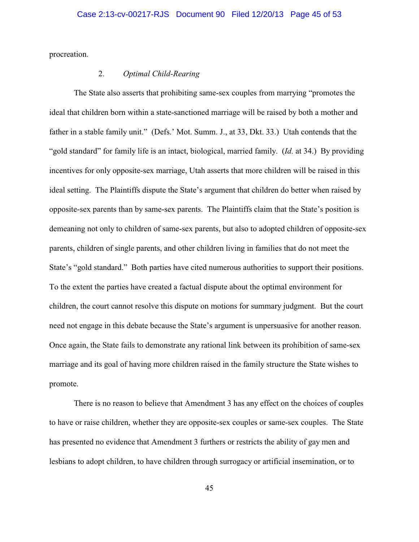procreation.

# 2. *Optimal Child-Rearing*

The State also asserts that prohibiting same-sex couples from marrying "promotes the ideal that children born within a state-sanctioned marriage will be raised by both a mother and father in a stable family unit." (Defs.' Mot. Summ. J., at 33, Dkt. 33.) Utah contends that the "gold standard" for family life is an intact, biological, married family. (*Id.* at 34.) By providing incentives for only opposite-sex marriage, Utah asserts that more children will be raised in this ideal setting. The Plaintiffs dispute the State's argument that children do better when raised by opposite-sex parents than by same-sex parents. The Plaintiffs claim that the State's position is demeaning not only to children of same-sex parents, but also to adopted children of opposite-sex parents, children of single parents, and other children living in families that do not meet the State's "gold standard." Both parties have cited numerous authorities to support their positions. To the extent the parties have created a factual dispute about the optimal environment for children, the court cannot resolve this dispute on motions for summary judgment. But the court need not engage in this debate because the State's argument is unpersuasive for another reason. Once again, the State fails to demonstrate any rational link between its prohibition of same-sex marriage and its goal of having more children raised in the family structure the State wishes to promote.

There is no reason to believe that Amendment 3 has any effect on the choices of couples to have or raise children, whether they are opposite-sex couples or same-sex couples. The State has presented no evidence that Amendment 3 furthers or restricts the ability of gay men and lesbians to adopt children, to have children through surrogacy or artificial insemination, or to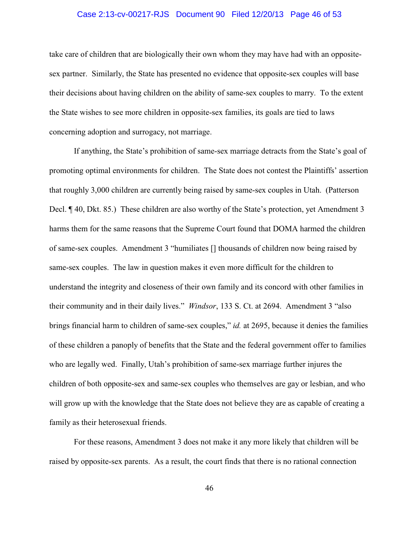# Case 2:13-cv-00217-RJS Document 90 Filed 12/20/13 Page 46 of 53

take care of children that are biologically their own whom they may have had with an oppositesex partner. Similarly, the State has presented no evidence that opposite-sex couples will base their decisions about having children on the ability of same-sex couples to marry. To the extent the State wishes to see more children in opposite-sex families, its goals are tied to laws concerning adoption and surrogacy, not marriage.

If anything, the State's prohibition of same-sex marriage detracts from the State's goal of promoting optimal environments for children. The State does not contest the Plaintiffs' assertion that roughly 3,000 children are currently being raised by same-sex couples in Utah. (Patterson Decl. ¶ 40, Dkt. 85.) These children are also worthy of the State's protection, yet Amendment 3 harms them for the same reasons that the Supreme Court found that DOMA harmed the children of same-sex couples. Amendment 3 "humiliates [] thousands of children now being raised by same-sex couples. The law in question makes it even more difficult for the children to understand the integrity and closeness of their own family and its concord with other families in their community and in their daily lives." *Windsor*, 133 S. Ct. at 2694. Amendment 3 "also brings financial harm to children of same-sex couples," *id.* at 2695, because it denies the families of these children a panoply of benefits that the State and the federal government offer to families who are legally wed. Finally, Utah's prohibition of same-sex marriage further injures the children of both opposite-sex and same-sex couples who themselves are gay or lesbian, and who will grow up with the knowledge that the State does not believe they are as capable of creating a family as their heterosexual friends.

For these reasons, Amendment 3 does not make it any more likely that children will be raised by opposite-sex parents. As a result, the court finds that there is no rational connection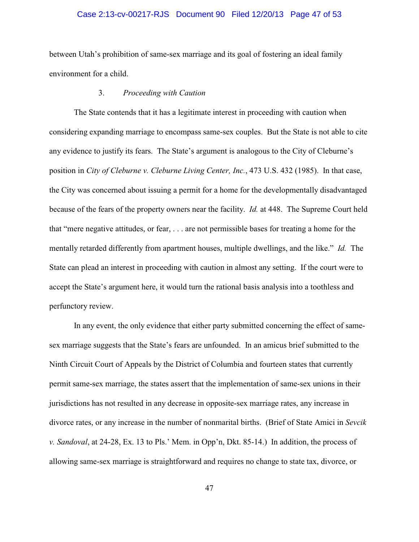# Case 2:13-cv-00217-RJS Document 90 Filed 12/20/13 Page 47 of 53

between Utah's prohibition of same-sex marriage and its goal of fostering an ideal family environment for a child.

# 3. *Proceeding with Caution*

The State contends that it has a legitimate interest in proceeding with caution when considering expanding marriage to encompass same-sex couples. But the State is not able to cite any evidence to justify its fears. The State's argument is analogous to the City of Cleburne's position in *City of Cleburne v. Cleburne Living Center, Inc.*, 473 U.S. 432 (1985). In that case, the City was concerned about issuing a permit for a home for the developmentally disadvantaged because of the fears of the property owners near the facility. *Id.* at 448. The Supreme Court held that "mere negative attitudes, or fear, . . . are not permissible bases for treating a home for the mentally retarded differently from apartment houses, multiple dwellings, and the like." *Id.* The State can plead an interest in proceeding with caution in almost any setting. If the court were to accept the State's argument here, it would turn the rational basis analysis into a toothless and perfunctory review.

In any event, the only evidence that either party submitted concerning the effect of samesex marriage suggests that the State's fears are unfounded. In an amicus brief submitted to the Ninth Circuit Court of Appeals by the District of Columbia and fourteen states that currently permit same-sex marriage, the states assert that the implementation of same-sex unions in their jurisdictions has not resulted in any decrease in opposite-sex marriage rates, any increase in divorce rates, or any increase in the number of nonmarital births. (Brief of State Amici in *Sevcik v. Sandoval*, at 24-28, Ex. 13 to Pls.' Mem. in Opp'n, Dkt. 85-14.) In addition, the process of allowing same-sex marriage is straightforward and requires no change to state tax, divorce, or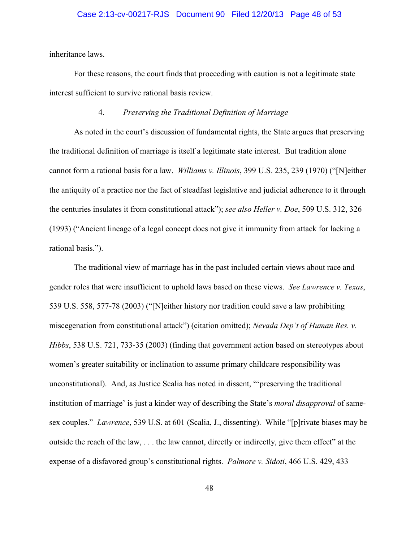# Case 2:13-cv-00217-RJS Document 90 Filed 12/20/13 Page 48 of 53

inheritance laws.

For these reasons, the court finds that proceeding with caution is not a legitimate state interest sufficient to survive rational basis review.

# 4. *Preserving the Traditional Definition of Marriage*

As noted in the court's discussion of fundamental rights, the State argues that preserving the traditional definition of marriage is itself a legitimate state interest. But tradition alone cannot form a rational basis for a law. *Williams v. Illinois*, 399 U.S. 235, 239 (1970) ("[N]either the antiquity of a practice nor the fact of steadfast legislative and judicial adherence to it through the centuries insulates it from constitutional attack"); *see also Heller v. Doe*, 509 U.S. 312, 326 (1993) ("Ancient lineage of a legal concept does not give it immunity from attack for lacking a rational basis.").

The traditional view of marriage has in the past included certain views about race and gender roles that were insufficient to uphold laws based on these views. *See Lawrence v. Texas*, 539 U.S. 558, 577-78 (2003) ("[N]either history nor tradition could save a law prohibiting miscegenation from constitutional attack") (citation omitted); *Nevada Dep't of Human Res. v. Hibbs*, 538 U.S. 721, 733-35 (2003) (finding that government action based on stereotypes about women's greater suitability or inclination to assume primary childcare responsibility was unconstitutional). And, as Justice Scalia has noted in dissent, "'preserving the traditional institution of marriage' is just a kinder way of describing the State's *moral disapproval* of samesex couples." *Lawrence*, 539 U.S. at 601 (Scalia, J., dissenting). While "[p]rivate biases may be outside the reach of the law, . . . the law cannot, directly or indirectly, give them effect" at the expense of a disfavored group's constitutional rights. *Palmore v. Sidoti*, 466 U.S. 429, 433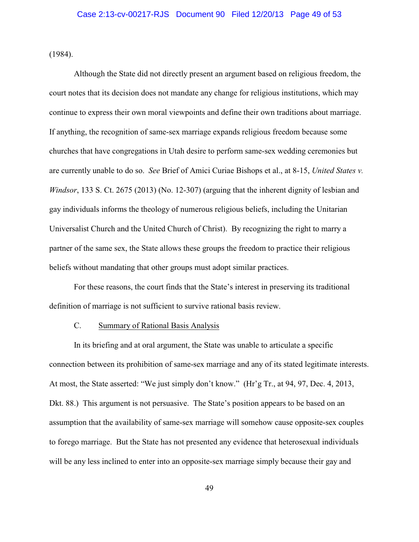(1984).

Although the State did not directly present an argument based on religious freedom, the court notes that its decision does not mandate any change for religious institutions, which may continue to express their own moral viewpoints and define their own traditions about marriage. If anything, the recognition of same-sex marriage expands religious freedom because some churches that have congregations in Utah desire to perform same-sex wedding ceremonies but are currently unable to do so. *See* Brief of Amici Curiae Bishops et al., at 8-15, *United States v. Windsor*, 133 S. Ct. 2675 (2013) (No. 12-307) (arguing that the inherent dignity of lesbian and gay individuals informs the theology of numerous religious beliefs, including the Unitarian Universalist Church and the United Church of Christ). By recognizing the right to marry a partner of the same sex, the State allows these groups the freedom to practice their religious beliefs without mandating that other groups must adopt similar practices.

For these reasons, the court finds that the State's interest in preserving its traditional definition of marriage is not sufficient to survive rational basis review.

# C. Summary of Rational Basis Analysis

In its briefing and at oral argument, the State was unable to articulate a specific connection between its prohibition of same-sex marriage and any of its stated legitimate interests. At most, the State asserted: "We just simply don't know." (Hr'g Tr., at 94, 97, Dec. 4, 2013, Dkt. 88.) This argument is not persuasive. The State's position appears to be based on an assumption that the availability of same-sex marriage will somehow cause opposite-sex couples to forego marriage. But the State has not presented any evidence that heterosexual individuals will be any less inclined to enter into an opposite-sex marriage simply because their gay and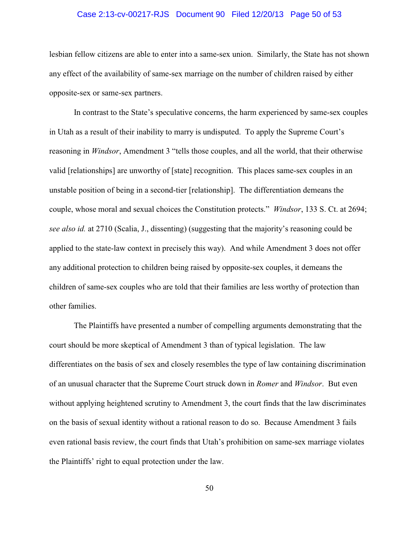# Case 2:13-cv-00217-RJS Document 90 Filed 12/20/13 Page 50 of 53

lesbian fellow citizens are able to enter into a same-sex union. Similarly, the State has not shown any effect of the availability of same-sex marriage on the number of children raised by either opposite-sex or same-sex partners.

In contrast to the State's speculative concerns, the harm experienced by same-sex couples in Utah as a result of their inability to marry is undisputed. To apply the Supreme Court's reasoning in *Windsor*, Amendment 3 "tells those couples, and all the world, that their otherwise valid [relationships] are unworthy of [state] recognition. This places same-sex couples in an unstable position of being in a second-tier [relationship]. The differentiation demeans the couple, whose moral and sexual choices the Constitution protects." *Windsor*, 133 S. Ct. at 2694; *see also id.* at 2710 (Scalia, J., dissenting) (suggesting that the majority's reasoning could be applied to the state-law context in precisely this way). And while Amendment 3 does not offer any additional protection to children being raised by opposite-sex couples, it demeans the children of same-sex couples who are told that their families are less worthy of protection than other families.

The Plaintiffs have presented a number of compelling arguments demonstrating that the court should be more skeptical of Amendment 3 than of typical legislation. The law differentiates on the basis of sex and closely resembles the type of law containing discrimination of an unusual character that the Supreme Court struck down in *Romer* and *Windsor*. But even without applying heightened scrutiny to Amendment 3, the court finds that the law discriminates on the basis of sexual identity without a rational reason to do so. Because Amendment 3 fails even rational basis review, the court finds that Utah's prohibition on same-sex marriage violates the Plaintiffs' right to equal protection under the law.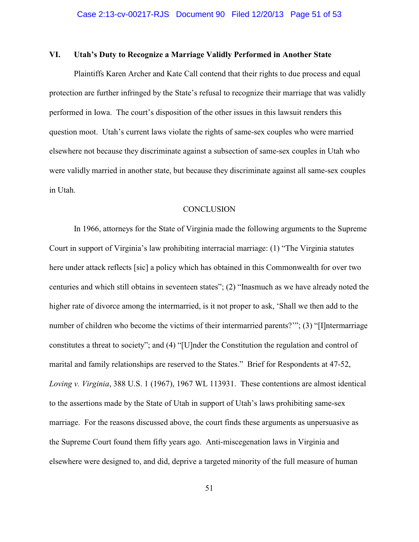# **VI. Utah's Duty to Recognize a Marriage Validly Performed in Another State**

Plaintiffs Karen Archer and Kate Call contend that their rights to due process and equal protection are further infringed by the State's refusal to recognize their marriage that was validly performed in Iowa. The court's disposition of the other issues in this lawsuit renders this question moot. Utah's current laws violate the rights of same-sex couples who were married elsewhere not because they discriminate against a subsection of same-sex couples in Utah who were validly married in another state, but because they discriminate against all same-sex couples in Utah.

#### **CONCLUSION**

In 1966, attorneys for the State of Virginia made the following arguments to the Supreme Court in support of Virginia's law prohibiting interracial marriage: (1) "The Virginia statutes here under attack reflects [sic] a policy which has obtained in this Commonwealth for over two centuries and which still obtains in seventeen states"; (2) "Inasmuch as we have already noted the higher rate of divorce among the intermarried, is it not proper to ask, 'Shall we then add to the number of children who become the victims of their intermarried parents?"; (3) "[I]ntermarriage constitutes a threat to society"; and (4) "[U]nder the Constitution the regulation and control of marital and family relationships are reserved to the States." Brief for Respondents at 47-52, *Loving v. Virginia*, 388 U.S. 1 (1967), 1967 WL 113931. These contentions are almost identical to the assertions made by the State of Utah in support of Utah's laws prohibiting same-sex marriage. For the reasons discussed above, the court finds these arguments as unpersuasive as the Supreme Court found them fifty years ago. Anti-miscegenation laws in Virginia and elsewhere were designed to, and did, deprive a targeted minority of the full measure of human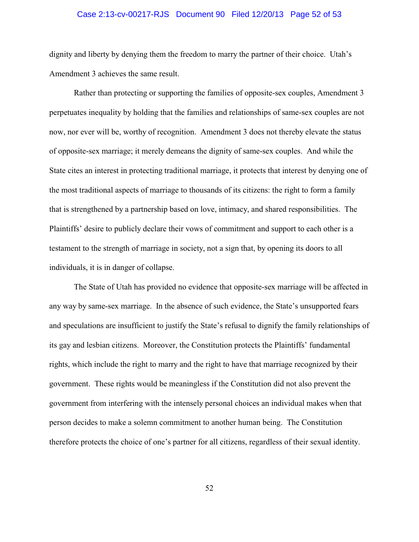# Case 2:13-cv-00217-RJS Document 90 Filed 12/20/13 Page 52 of 53

dignity and liberty by denying them the freedom to marry the partner of their choice. Utah's Amendment 3 achieves the same result.

Rather than protecting or supporting the families of opposite-sex couples, Amendment 3 perpetuates inequality by holding that the families and relationships of same-sex couples are not now, nor ever will be, worthy of recognition. Amendment 3 does not thereby elevate the status of opposite-sex marriage; it merely demeans the dignity of same-sex couples. And while the State cites an interest in protecting traditional marriage, it protects that interest by denying one of the most traditional aspects of marriage to thousands of its citizens: the right to form a family that is strengthened by a partnership based on love, intimacy, and shared responsibilities. The Plaintiffs' desire to publicly declare their vows of commitment and support to each other is a testament to the strength of marriage in society, not a sign that, by opening its doors to all individuals, it is in danger of collapse.

The State of Utah has provided no evidence that opposite-sex marriage will be affected in any way by same-sex marriage. In the absence of such evidence, the State's unsupported fears and speculations are insufficient to justify the State's refusal to dignify the family relationships of its gay and lesbian citizens. Moreover, the Constitution protects the Plaintiffs' fundamental rights, which include the right to marry and the right to have that marriage recognized by their government. These rights would be meaningless if the Constitution did not also prevent the government from interfering with the intensely personal choices an individual makes when that person decides to make a solemn commitment to another human being. The Constitution therefore protects the choice of one's partner for all citizens, regardless of their sexual identity.